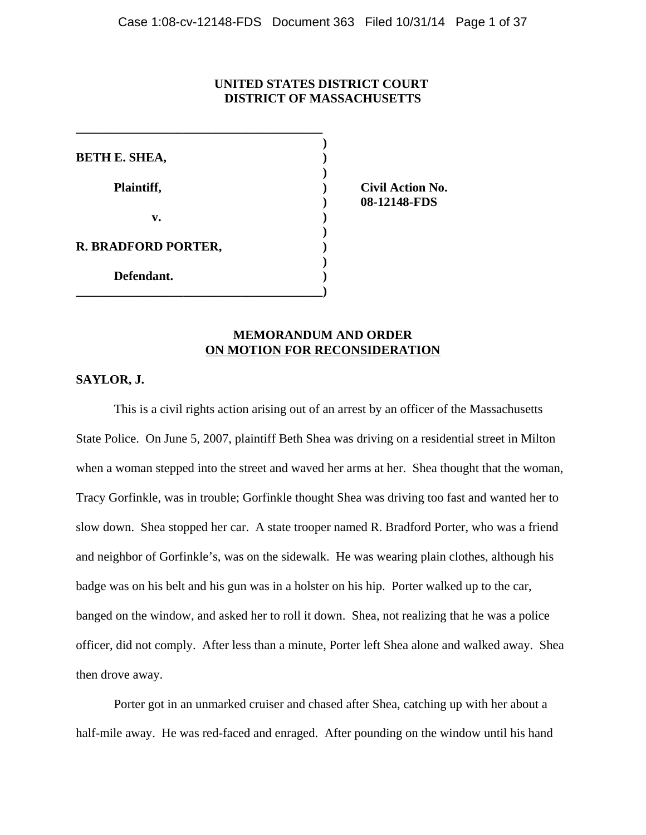## **UNITED STATES DISTRICT COURT DISTRICT OF MASSACHUSETTS**

| <b>BETH E. SHEA,</b> |  |
|----------------------|--|
| Plaintiff,           |  |
| v.                   |  |
| R. BRADFORD PORTER,  |  |
| Defendant.           |  |

**\_\_\_\_\_\_\_\_\_\_\_\_\_\_\_\_\_\_\_\_\_\_\_\_\_\_\_\_\_\_\_\_\_\_\_\_\_\_\_**

**) Civil Action No. ) 08-12148-FDS**

## **MEMORANDUM AND ORDER ON MOTION FOR RECONSIDERATION**

## **SAYLOR, J.**

This is a civil rights action arising out of an arrest by an officer of the Massachusetts State Police. On June 5, 2007, plaintiff Beth Shea was driving on a residential street in Milton when a woman stepped into the street and waved her arms at her. Shea thought that the woman, Tracy Gorfinkle, was in trouble; Gorfinkle thought Shea was driving too fast and wanted her to slow down. Shea stopped her car. A state trooper named R. Bradford Porter, who was a friend and neighbor of Gorfinkle's, was on the sidewalk. He was wearing plain clothes, although his badge was on his belt and his gun was in a holster on his hip. Porter walked up to the car, banged on the window, and asked her to roll it down. Shea, not realizing that he was a police officer, did not comply. After less than a minute, Porter left Shea alone and walked away. Shea then drove away.

Porter got in an unmarked cruiser and chased after Shea, catching up with her about a half-mile away. He was red-faced and enraged. After pounding on the window until his hand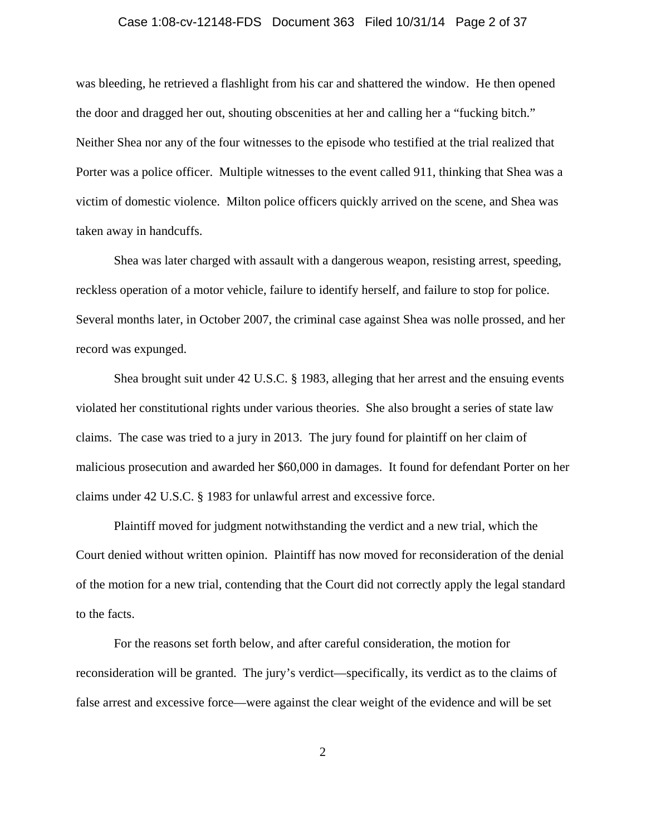## Case 1:08-cv-12148-FDS Document 363 Filed 10/31/14 Page 2 of 37

was bleeding, he retrieved a flashlight from his car and shattered the window. He then opened the door and dragged her out, shouting obscenities at her and calling her a "fucking bitch." Neither Shea nor any of the four witnesses to the episode who testified at the trial realized that Porter was a police officer. Multiple witnesses to the event called 911, thinking that Shea was a victim of domestic violence. Milton police officers quickly arrived on the scene, and Shea was taken away in handcuffs.

Shea was later charged with assault with a dangerous weapon, resisting arrest, speeding, reckless operation of a motor vehicle, failure to identify herself, and failure to stop for police. Several months later, in October 2007, the criminal case against Shea was nolle prossed, and her record was expunged.

Shea brought suit under 42 U.S.C. § 1983, alleging that her arrest and the ensuing events violated her constitutional rights under various theories. She also brought a series of state law claims. The case was tried to a jury in 2013. The jury found for plaintiff on her claim of malicious prosecution and awarded her \$60,000 in damages. It found for defendant Porter on her claims under 42 U.S.C. § 1983 for unlawful arrest and excessive force.

Plaintiff moved for judgment notwithstanding the verdict and a new trial, which the Court denied without written opinion. Plaintiff has now moved for reconsideration of the denial of the motion for a new trial, contending that the Court did not correctly apply the legal standard to the facts.

For the reasons set forth below, and after careful consideration, the motion for reconsideration will be granted. The jury's verdict—specifically, its verdict as to the claims of false arrest and excessive force—were against the clear weight of the evidence and will be set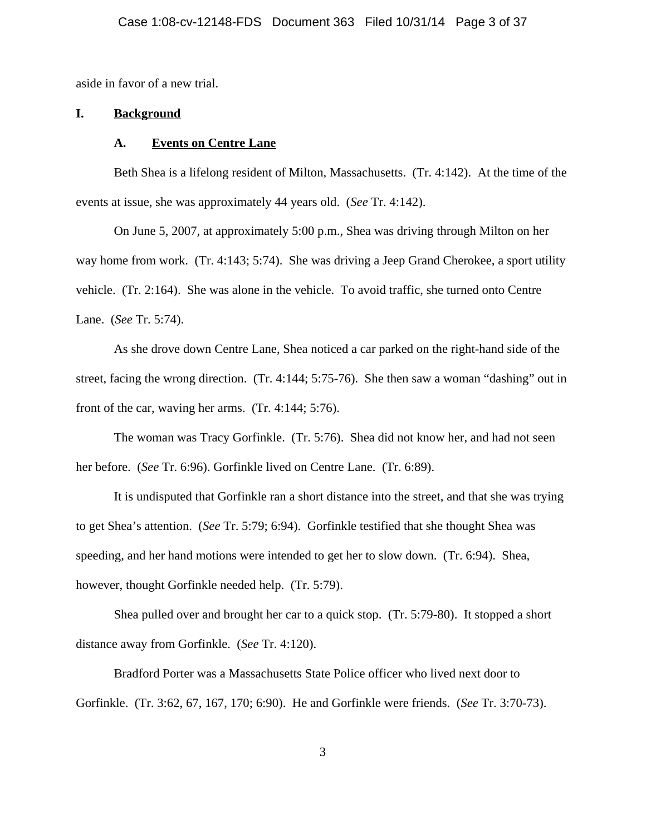aside in favor of a new trial.

## **I. Background**

#### **A. Events on Centre Lane**

Beth Shea is a lifelong resident of Milton, Massachusetts. (Tr. 4:142). At the time of the events at issue, she was approximately 44 years old. (*See* Tr. 4:142).

On June 5, 2007, at approximately 5:00 p.m., Shea was driving through Milton on her way home from work. (Tr. 4:143; 5:74). She was driving a Jeep Grand Cherokee, a sport utility vehicle. (Tr. 2:164). She was alone in the vehicle. To avoid traffic, she turned onto Centre Lane. (*See* Tr. 5:74).

As she drove down Centre Lane, Shea noticed a car parked on the right-hand side of the street, facing the wrong direction. (Tr. 4:144; 5:75-76). She then saw a woman "dashing" out in front of the car, waving her arms. (Tr. 4:144; 5:76).

The woman was Tracy Gorfinkle. (Tr. 5:76). Shea did not know her, and had not seen her before. (*See* Tr. 6:96). Gorfinkle lived on Centre Lane. (Tr. 6:89).

It is undisputed that Gorfinkle ran a short distance into the street, and that she was trying to get Shea's attention. (*See* Tr. 5:79; 6:94). Gorfinkle testified that she thought Shea was speeding, and her hand motions were intended to get her to slow down. (Tr. 6:94). Shea, however, thought Gorfinkle needed help. (Tr. 5:79).

Shea pulled over and brought her car to a quick stop. (Tr. 5:79-80). It stopped a short distance away from Gorfinkle. (*See* Tr. 4:120).

Bradford Porter was a Massachusetts State Police officer who lived next door to Gorfinkle. (Tr. 3:62, 67, 167, 170; 6:90). He and Gorfinkle were friends. (*See* Tr. 3:70-73).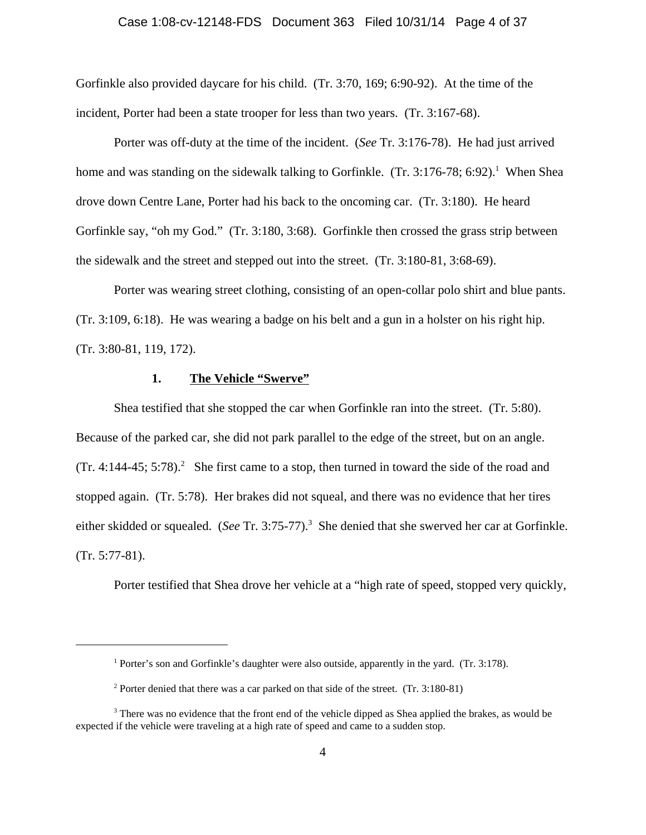## Case 1:08-cv-12148-FDS Document 363 Filed 10/31/14 Page 4 of 37

Gorfinkle also provided daycare for his child. (Tr. 3:70, 169; 6:90-92). At the time of the incident, Porter had been a state trooper for less than two years. (Tr. 3:167-68).

Porter was off-duty at the time of the incident. (*See* Tr. 3:176-78). He had just arrived home and was standing on the sidewalk talking to Gorfinkle. (Tr. 3:176-78; 6:92).<sup>1</sup> When Shea drove down Centre Lane, Porter had his back to the oncoming car. (Tr. 3:180). He heard Gorfinkle say, "oh my God." (Tr. 3:180, 3:68). Gorfinkle then crossed the grass strip between the sidewalk and the street and stepped out into the street. (Tr. 3:180-81, 3:68-69).

Porter was wearing street clothing, consisting of an open-collar polo shirt and blue pants. (Tr. 3:109, 6:18). He was wearing a badge on his belt and a gun in a holster on his right hip. (Tr. 3:80-81, 119, 172).

## **1. The Vehicle "Swerve"**

Shea testified that she stopped the car when Gorfinkle ran into the street. (Tr. 5:80). Because of the parked car, she did not park parallel to the edge of the street, but on an angle.  $(Tr. 4:144-45; 5:78).$ <sup>2</sup> She first came to a stop, then turned in toward the side of the road and stopped again. (Tr. 5:78). Her brakes did not squeal, and there was no evidence that her tires either skidded or squealed. (*See* Tr. 3:75-77).<sup>3</sup> She denied that she swerved her car at Gorfinkle. (Tr. 5:77-81).

Porter testified that Shea drove her vehicle at a "high rate of speed, stopped very quickly,

<sup>&</sup>lt;sup>1</sup> Porter's son and Gorfinkle's daughter were also outside, apparently in the yard. (Tr. 3:178).

<sup>&</sup>lt;sup>2</sup> Porter denied that there was a car parked on that side of the street. (Tr. 3:180-81)

<sup>&</sup>lt;sup>3</sup> There was no evidence that the front end of the vehicle dipped as Shea applied the brakes, as would be expected if the vehicle were traveling at a high rate of speed and came to a sudden stop.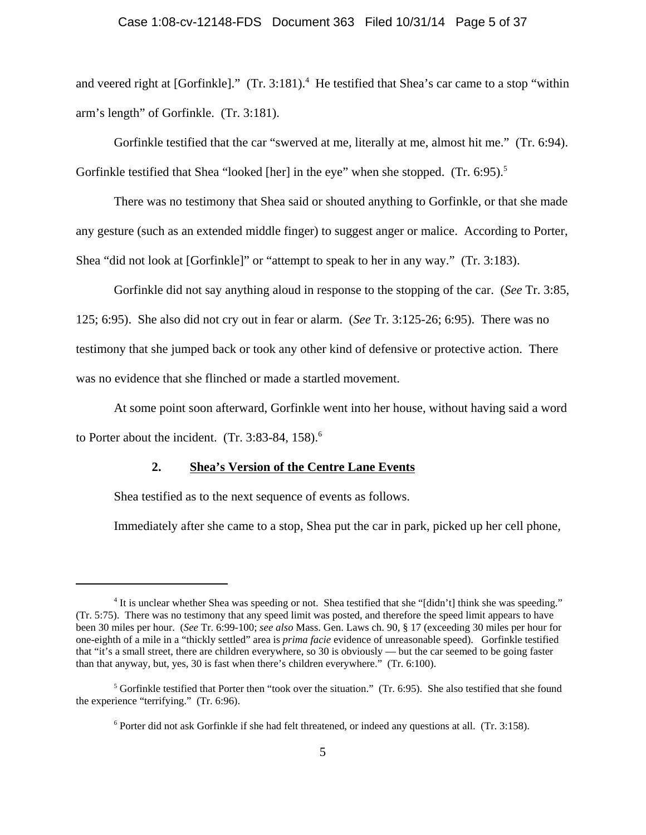## Case 1:08-cv-12148-FDS Document 363 Filed 10/31/14 Page 5 of 37

and veered right at [Gorfinkle]." (Tr. 3:181).<sup>4</sup> He testified that Shea's car came to a stop "within arm's length" of Gorfinkle. (Tr. 3:181).

Gorfinkle testified that the car "swerved at me, literally at me, almost hit me." (Tr. 6:94). Gorfinkle testified that Shea "looked [her] in the eye" when she stopped. (Tr. 6:95).<sup>5</sup>

There was no testimony that Shea said or shouted anything to Gorfinkle, or that she made any gesture (such as an extended middle finger) to suggest anger or malice. According to Porter, Shea "did not look at [Gorfinkle]" or "attempt to speak to her in any way." (Tr. 3:183).

Gorfinkle did not say anything aloud in response to the stopping of the car. (*See* Tr. 3:85, 125; 6:95). She also did not cry out in fear or alarm. (*See* Tr. 3:125-26; 6:95). There was no testimony that she jumped back or took any other kind of defensive or protective action. There was no evidence that she flinched or made a startled movement.

At some point soon afterward, Gorfinkle went into her house, without having said a word to Porter about the incident.  $(Tr. 3:83-84, 158).$ <sup>6</sup>

## **2. Shea's Version of the Centre Lane Events**

Shea testified as to the next sequence of events as follows.

Immediately after she came to a stop, Shea put the car in park, picked up her cell phone,

<sup>&</sup>lt;sup>4</sup> It is unclear whether Shea was speeding or not. Shea testified that she "[didn't] think she was speeding." (Tr. 5:75). There was no testimony that any speed limit was posted, and therefore the speed limit appears to have been 30 miles per hour. (*See* Tr. 6:99-100; *see also* Mass. Gen. Laws ch. 90, § 17 (exceeding 30 miles per hour for one-eighth of a mile in a "thickly settled" area is *prima facie* evidence of unreasonable speed). Gorfinkle testified that "it's a small street, there are children everywhere, so 30 is obviously — but the car seemed to be going faster than that anyway, but, yes, 30 is fast when there's children everywhere." (Tr. 6:100).

<sup>&</sup>lt;sup>5</sup> Gorfinkle testified that Porter then "took over the situation." (Tr. 6:95). She also testified that she found the experience "terrifying." (Tr. 6:96).

<sup>&</sup>lt;sup>6</sup> Porter did not ask Gorfinkle if she had felt threatened, or indeed any questions at all. (Tr. 3:158).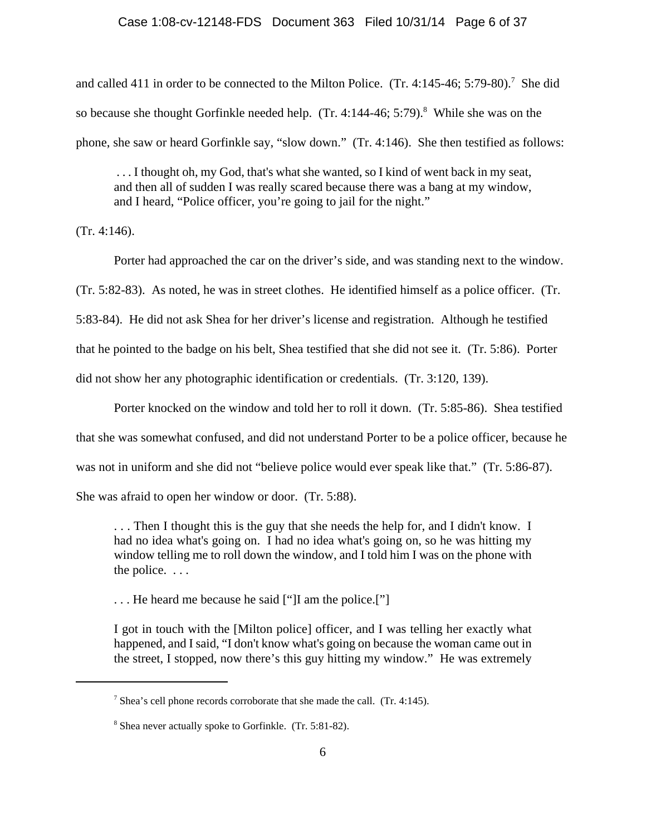#### Case 1:08-cv-12148-FDS Document 363 Filed 10/31/14 Page 6 of 37

and called 411 in order to be connected to the Milton Police.  $(Tr. 4:145-46; 5:79-80).$ <sup>7</sup> She did so because she thought Gorfinkle needed help.  $(Tr. 4:144-46; 5:79)^8$  While she was on the phone, she saw or heard Gorfinkle say, "slow down." (Tr. 4:146). She then testified as follows:

 . . . I thought oh, my God, that's what she wanted, so I kind of went back in my seat, and then all of sudden I was really scared because there was a bang at my window, and I heard, "Police officer, you're going to jail for the night."

(Tr. 4:146).

Porter had approached the car on the driver's side, and was standing next to the window. (Tr. 5:82-83). As noted, he was in street clothes. He identified himself as a police officer. (Tr. 5:83-84). He did not ask Shea for her driver's license and registration. Although he testified that he pointed to the badge on his belt, Shea testified that she did not see it. (Tr. 5:86). Porter did not show her any photographic identification or credentials. (Tr. 3:120, 139).

Porter knocked on the window and told her to roll it down. (Tr. 5:85-86). Shea testified that she was somewhat confused, and did not understand Porter to be a police officer, because he was not in uniform and she did not "believe police would ever speak like that." (Tr. 5:86-87). She was afraid to open her window or door. (Tr. 5:88).

. . . Then I thought this is the guy that she needs the help for, and I didn't know. I had no idea what's going on. I had no idea what's going on, so he was hitting my window telling me to roll down the window, and I told him I was on the phone with the police. . . .

. . . He heard me because he said ["]I am the police.["]

I got in touch with the [Milton police] officer, and I was telling her exactly what happened, and I said, "I don't know what's going on because the woman came out in the street, I stopped, now there's this guy hitting my window." He was extremely

<sup>&</sup>lt;sup>7</sup> Shea's cell phone records corroborate that she made the call. (Tr. 4:145).

<sup>&</sup>lt;sup>8</sup> Shea never actually spoke to Gorfinkle. (Tr. 5:81-82).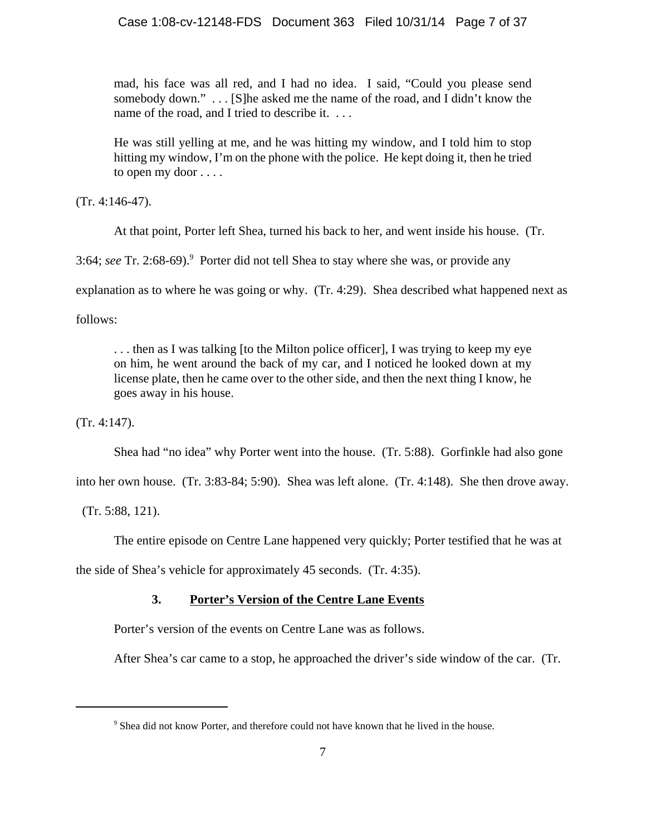mad, his face was all red, and I had no idea. I said, "Could you please send somebody down." . . . [S]he asked me the name of the road, and I didn't know the name of the road, and I tried to describe it. ...

He was still yelling at me, and he was hitting my window, and I told him to stop hitting my window, I'm on the phone with the police. He kept doing it, then he tried to open my door . . . .

(Tr. 4:146-47).

At that point, Porter left Shea, turned his back to her, and went inside his house. (Tr.

3:64; see Tr. 2:68-69).<sup>9</sup> Porter did not tell Shea to stay where she was, or provide any

explanation as to where he was going or why. (Tr. 4:29). Shea described what happened next as

follows:

. . . then as I was talking [to the Milton police officer], I was trying to keep my eye on him, he went around the back of my car, and I noticed he looked down at my license plate, then he came over to the other side, and then the next thing I know, he goes away in his house.

(Tr. 4:147).

Shea had "no idea" why Porter went into the house. (Tr. 5:88). Gorfinkle had also gone

into her own house. (Tr. 3:83-84; 5:90). Shea was left alone. (Tr. 4:148). She then drove away.

(Tr. 5:88, 121).

The entire episode on Centre Lane happened very quickly; Porter testified that he was at

the side of Shea's vehicle for approximately 45 seconds. (Tr. 4:35).

# **3. Porter's Version of the Centre Lane Events**

Porter's version of the events on Centre Lane was as follows.

After Shea's car came to a stop, he approached the driver's side window of the car. (Tr.

<sup>&</sup>lt;sup>9</sup> Shea did not know Porter, and therefore could not have known that he lived in the house.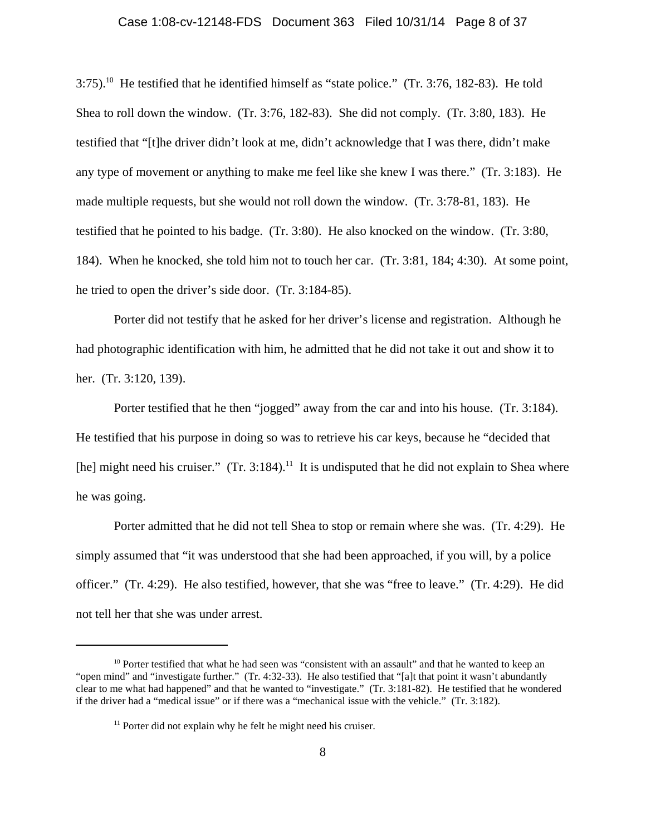# Case 1:08-cv-12148-FDS Document 363 Filed 10/31/14 Page 8 of 37

3:75).10 He testified that he identified himself as "state police." (Tr. 3:76, 182-83). He told Shea to roll down the window. (Tr. 3:76, 182-83). She did not comply. (Tr. 3:80, 183). He testified that "[t]he driver didn't look at me, didn't acknowledge that I was there, didn't make any type of movement or anything to make me feel like she knew I was there." (Tr. 3:183). He made multiple requests, but she would not roll down the window. (Tr. 3:78-81, 183). He testified that he pointed to his badge. (Tr. 3:80). He also knocked on the window. (Tr. 3:80, 184). When he knocked, she told him not to touch her car. (Tr. 3:81, 184; 4:30). At some point, he tried to open the driver's side door. (Tr. 3:184-85).

Porter did not testify that he asked for her driver's license and registration. Although he had photographic identification with him, he admitted that he did not take it out and show it to her. (Tr. 3:120, 139).

Porter testified that he then "jogged" away from the car and into his house. (Tr. 3:184). He testified that his purpose in doing so was to retrieve his car keys, because he "decided that [he] might need his cruiser." (Tr. 3:184).<sup>11</sup> It is undisputed that he did not explain to Shea where he was going.

Porter admitted that he did not tell Shea to stop or remain where she was. (Tr. 4:29). He simply assumed that "it was understood that she had been approached, if you will, by a police officer." (Tr. 4:29). He also testified, however, that she was "free to leave." (Tr. 4:29). He did not tell her that she was under arrest.

<sup>&</sup>lt;sup>10</sup> Porter testified that what he had seen was "consistent with an assault" and that he wanted to keep an "open mind" and "investigate further." (Tr. 4:32-33). He also testified that "[a]t that point it wasn't abundantly clear to me what had happened" and that he wanted to "investigate." (Tr. 3:181-82). He testified that he wondered if the driver had a "medical issue" or if there was a "mechanical issue with the vehicle." (Tr. 3:182).

 $11$  Porter did not explain why he felt he might need his cruiser.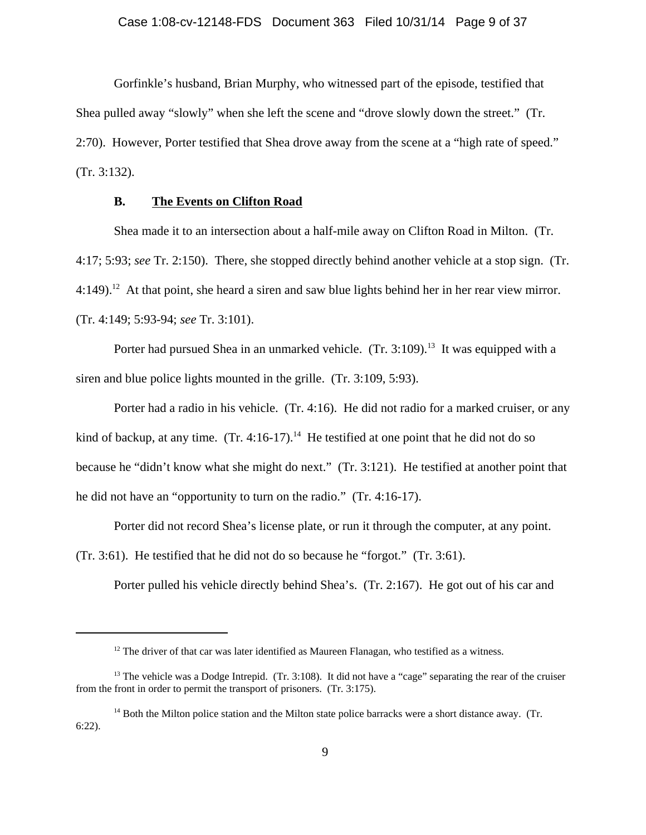Gorfinkle's husband, Brian Murphy, who witnessed part of the episode, testified that Shea pulled away "slowly" when she left the scene and "drove slowly down the street." (Tr. 2:70). However, Porter testified that Shea drove away from the scene at a "high rate of speed." (Tr. 3:132).

#### **B. The Events on Clifton Road**

Shea made it to an intersection about a half-mile away on Clifton Road in Milton. (Tr. 4:17; 5:93; *see* Tr. 2:150). There, she stopped directly behind another vehicle at a stop sign. (Tr. 4:149).<sup>12</sup> At that point, she heard a siren and saw blue lights behind her in her rear view mirror. (Tr. 4:149; 5:93-94; *see* Tr. 3:101).

Porter had pursued Shea in an unmarked vehicle. (Tr. 3:109).<sup>13</sup> It was equipped with a siren and blue police lights mounted in the grille. (Tr. 3:109, 5:93).

Porter had a radio in his vehicle. (Tr. 4:16). He did not radio for a marked cruiser, or any kind of backup, at any time.  $(Tr. 4:16-17).$ <sup>14</sup> He testified at one point that he did not do so because he "didn't know what she might do next." (Tr. 3:121). He testified at another point that he did not have an "opportunity to turn on the radio." (Tr. 4:16-17).

Porter did not record Shea's license plate, or run it through the computer, at any point.

(Tr. 3:61). He testified that he did not do so because he "forgot." (Tr. 3:61).

Porter pulled his vehicle directly behind Shea's. (Tr. 2:167). He got out of his car and

 $12$  The driver of that car was later identified as Maureen Flanagan, who testified as a witness.

<sup>&</sup>lt;sup>13</sup> The vehicle was a Dodge Intrepid. (Tr.  $3:108$ ). It did not have a "cage" separating the rear of the cruiser from the front in order to permit the transport of prisoners. (Tr. 3:175).

<sup>&</sup>lt;sup>14</sup> Both the Milton police station and the Milton state police barracks were a short distance away. (Tr. 6:22).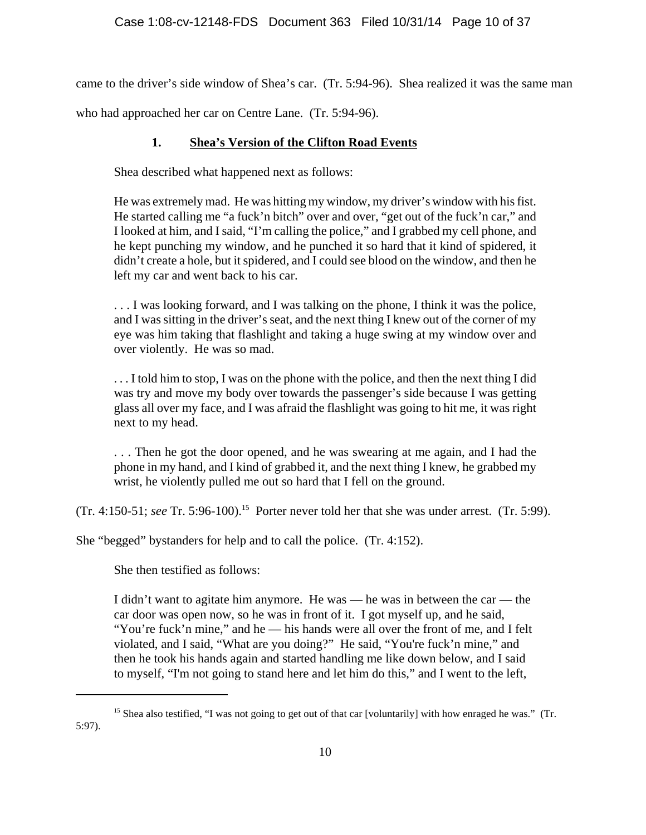came to the driver's side window of Shea's car. (Tr. 5:94-96). Shea realized it was the same man who had approached her car on Centre Lane. (Tr. 5:94-96).

# **1. Shea's Version of the Clifton Road Events**

Shea described what happened next as follows:

He was extremely mad. He was hitting my window, my driver's window with his fist. He started calling me "a fuck'n bitch" over and over, "get out of the fuck'n car," and I looked at him, and I said, "I'm calling the police," and I grabbed my cell phone, and he kept punching my window, and he punched it so hard that it kind of spidered, it didn't create a hole, but it spidered, and I could see blood on the window, and then he left my car and went back to his car.

. . . I was looking forward, and I was talking on the phone, I think it was the police, and I was sitting in the driver's seat, and the next thing I knew out of the corner of my eye was him taking that flashlight and taking a huge swing at my window over and over violently. He was so mad.

. . . I told him to stop, I was on the phone with the police, and then the next thing I did was try and move my body over towards the passenger's side because I was getting glass all over my face, and I was afraid the flashlight was going to hit me, it was right next to my head.

. . . Then he got the door opened, and he was swearing at me again, and I had the phone in my hand, and I kind of grabbed it, and the next thing I knew, he grabbed my wrist, he violently pulled me out so hard that I fell on the ground.

(Tr. 4:150-51; *see* Tr. 5:96-100).15 Porter never told her that she was under arrest. (Tr. 5:99).

She "begged" bystanders for help and to call the police. (Tr. 4:152).

She then testified as follows:

I didn't want to agitate him anymore. He was — he was in between the car — the car door was open now, so he was in front of it. I got myself up, and he said, "You're fuck'n mine," and he — his hands were all over the front of me, and I felt violated, and I said, "What are you doing?" He said, "You're fuck'n mine," and then he took his hands again and started handling me like down below, and I said to myself, "I'm not going to stand here and let him do this," and I went to the left,

<sup>&</sup>lt;sup>15</sup> Shea also testified, "I was not going to get out of that car [voluntarily] with how enraged he was." (Tr. 5:97).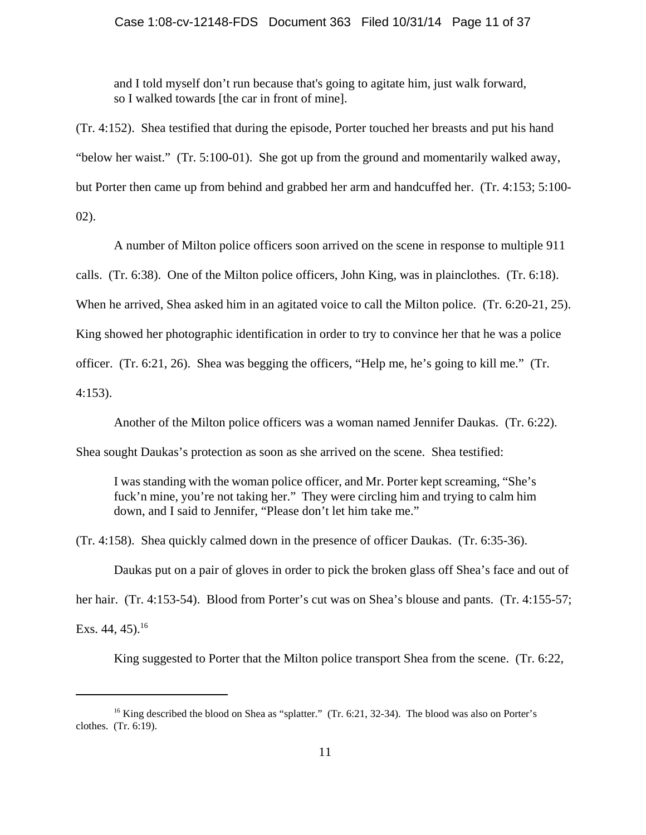and I told myself don't run because that's going to agitate him, just walk forward, so I walked towards [the car in front of mine].

(Tr. 4:152). Shea testified that during the episode, Porter touched her breasts and put his hand "below her waist." (Tr. 5:100-01). She got up from the ground and momentarily walked away, but Porter then came up from behind and grabbed her arm and handcuffed her. (Tr. 4:153; 5:100- 02).

A number of Milton police officers soon arrived on the scene in response to multiple 911

calls. (Tr. 6:38). One of the Milton police officers, John King, was in plainclothes. (Tr. 6:18).

When he arrived, Shea asked him in an agitated voice to call the Milton police. (Tr. 6:20-21, 25).

King showed her photographic identification in order to try to convince her that he was a police

officer. (Tr. 6:21, 26). Shea was begging the officers, "Help me, he's going to kill me." (Tr.

4:153).

Another of the Milton police officers was a woman named Jennifer Daukas. (Tr. 6:22).

Shea sought Daukas's protection as soon as she arrived on the scene. Shea testified:

I was standing with the woman police officer, and Mr. Porter kept screaming, "She's fuck'n mine, you're not taking her." They were circling him and trying to calm him down, and I said to Jennifer, "Please don't let him take me."

(Tr. 4:158). Shea quickly calmed down in the presence of officer Daukas. (Tr. 6:35-36).

Daukas put on a pair of gloves in order to pick the broken glass off Shea's face and out of her hair. (Tr. 4:153-54). Blood from Porter's cut was on Shea's blouse and pants. (Tr. 4:155-57; Exs.  $44, 45$ ).<sup>16</sup>

King suggested to Porter that the Milton police transport Shea from the scene. (Tr. 6:22,

<sup>&</sup>lt;sup>16</sup> King described the blood on Shea as "splatter." (Tr. 6:21, 32-34). The blood was also on Porter's clothes. (Tr. 6:19).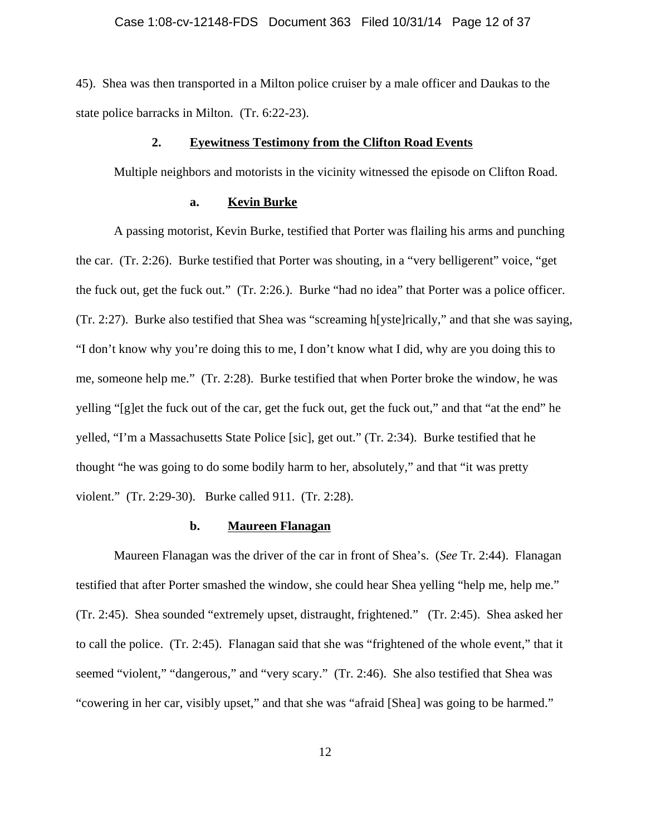45). Shea was then transported in a Milton police cruiser by a male officer and Daukas to the state police barracks in Milton. (Tr. 6:22-23).

#### **2. Eyewitness Testimony from the Clifton Road Events**

Multiple neighbors and motorists in the vicinity witnessed the episode on Clifton Road.

## **a. Kevin Burke**

A passing motorist, Kevin Burke, testified that Porter was flailing his arms and punching the car. (Tr. 2:26). Burke testified that Porter was shouting, in a "very belligerent" voice, "get the fuck out, get the fuck out." (Tr. 2:26.). Burke "had no idea" that Porter was a police officer. (Tr. 2:27). Burke also testified that Shea was "screaming h[yste]rically," and that she was saying, "I don't know why you're doing this to me, I don't know what I did, why are you doing this to me, someone help me." (Tr. 2:28). Burke testified that when Porter broke the window, he was yelling "[g]et the fuck out of the car, get the fuck out, get the fuck out," and that "at the end" he yelled, "I'm a Massachusetts State Police [sic], get out." (Tr. 2:34). Burke testified that he thought "he was going to do some bodily harm to her, absolutely," and that "it was pretty violent." (Tr. 2:29-30). Burke called 911. (Tr. 2:28).

## **b. Maureen Flanagan**

Maureen Flanagan was the driver of the car in front of Shea's. (*See* Tr. 2:44). Flanagan testified that after Porter smashed the window, she could hear Shea yelling "help me, help me." (Tr. 2:45). Shea sounded "extremely upset, distraught, frightened." (Tr. 2:45). Shea asked her to call the police. (Tr. 2:45). Flanagan said that she was "frightened of the whole event," that it seemed "violent," "dangerous," and "very scary." (Tr. 2:46). She also testified that Shea was "cowering in her car, visibly upset," and that she was "afraid [Shea] was going to be harmed."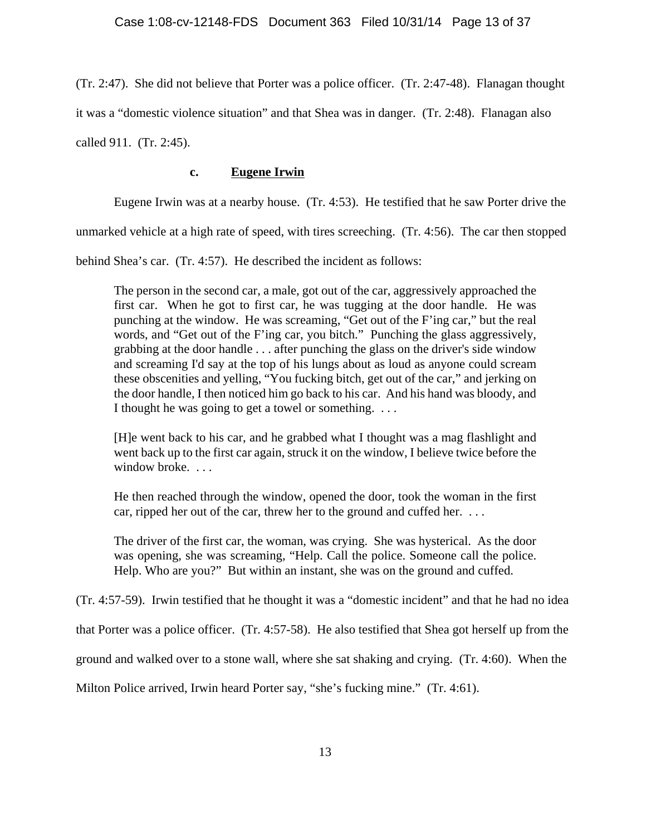(Tr. 2:47). She did not believe that Porter was a police officer. (Tr. 2:47-48). Flanagan thought it was a "domestic violence situation" and that Shea was in danger. (Tr. 2:48). Flanagan also called 911. (Tr. 2:45).

## **c. Eugene Irwin**

Eugene Irwin was at a nearby house. (Tr. 4:53). He testified that he saw Porter drive the

unmarked vehicle at a high rate of speed, with tires screeching. (Tr. 4:56). The car then stopped

behind Shea's car. (Tr. 4:57). He described the incident as follows:

The person in the second car, a male, got out of the car, aggressively approached the first car. When he got to first car, he was tugging at the door handle. He was punching at the window. He was screaming, "Get out of the F'ing car," but the real words, and "Get out of the F'ing car, you bitch." Punching the glass aggressively, grabbing at the door handle . . . after punching the glass on the driver's side window and screaming I'd say at the top of his lungs about as loud as anyone could scream these obscenities and yelling, "You fucking bitch, get out of the car," and jerking on the door handle, I then noticed him go back to his car. And his hand was bloody, and I thought he was going to get a towel or something. . . .

[H]e went back to his car, and he grabbed what I thought was a mag flashlight and went back up to the first car again, struck it on the window, I believe twice before the window broke...

He then reached through the window, opened the door, took the woman in the first car, ripped her out of the car, threw her to the ground and cuffed her. . . .

The driver of the first car, the woman, was crying. She was hysterical. As the door was opening, she was screaming, "Help. Call the police. Someone call the police. Help. Who are you?" But within an instant, she was on the ground and cuffed.

(Tr. 4:57-59). Irwin testified that he thought it was a "domestic incident" and that he had no idea

that Porter was a police officer. (Tr. 4:57-58). He also testified that Shea got herself up from the

ground and walked over to a stone wall, where she sat shaking and crying. (Tr. 4:60). When the

Milton Police arrived, Irwin heard Porter say, "she's fucking mine." (Tr. 4:61).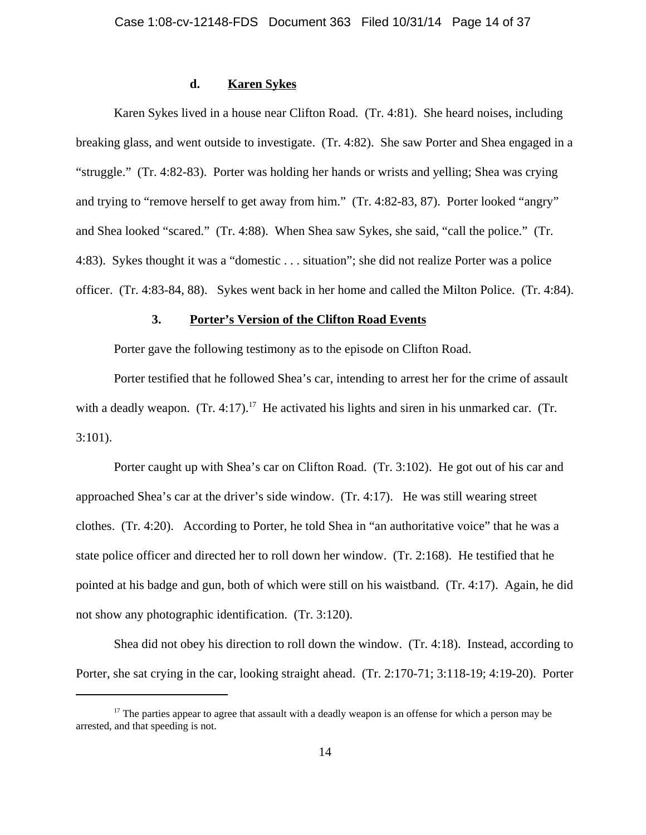## **d. Karen Sykes**

Karen Sykes lived in a house near Clifton Road. (Tr. 4:81). She heard noises, including breaking glass, and went outside to investigate. (Tr. 4:82). She saw Porter and Shea engaged in a "struggle." (Tr. 4:82-83). Porter was holding her hands or wrists and yelling; Shea was crying and trying to "remove herself to get away from him." (Tr. 4:82-83, 87). Porter looked "angry" and Shea looked "scared." (Tr. 4:88). When Shea saw Sykes, she said, "call the police." (Tr. 4:83). Sykes thought it was a "domestic . . . situation"; she did not realize Porter was a police officer. (Tr. 4:83-84, 88). Sykes went back in her home and called the Milton Police. (Tr. 4:84).

#### **3. Porter's Version of the Clifton Road Events**

Porter gave the following testimony as to the episode on Clifton Road.

Porter testified that he followed Shea's car, intending to arrest her for the crime of assault with a deadly weapon.  $(Tr. 4:17).$ <sup>17</sup> He activated his lights and siren in his unmarked car.  $(Tr. 4:17).$ 3:101).

Porter caught up with Shea's car on Clifton Road. (Tr. 3:102). He got out of his car and approached Shea's car at the driver's side window. (Tr. 4:17). He was still wearing street clothes. (Tr. 4:20). According to Porter, he told Shea in "an authoritative voice" that he was a state police officer and directed her to roll down her window. (Tr. 2:168). He testified that he pointed at his badge and gun, both of which were still on his waistband. (Tr. 4:17). Again, he did not show any photographic identification. (Tr. 3:120).

Shea did not obey his direction to roll down the window. (Tr. 4:18). Instead, according to Porter, she sat crying in the car, looking straight ahead. (Tr. 2:170-71; 3:118-19; 4:19-20). Porter

 $17$  The parties appear to agree that assault with a deadly weapon is an offense for which a person may be arrested, and that speeding is not.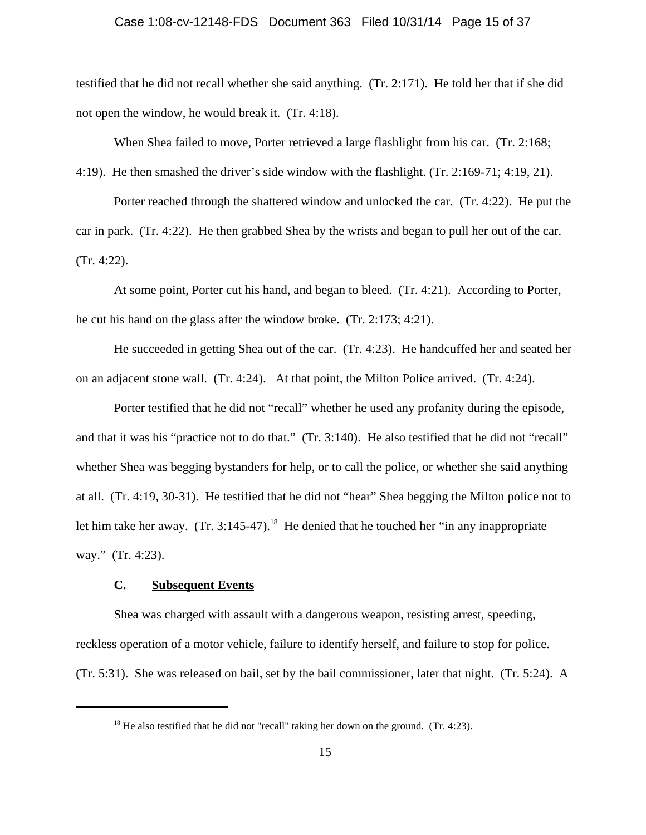## Case 1:08-cv-12148-FDS Document 363 Filed 10/31/14 Page 15 of 37

testified that he did not recall whether she said anything. (Tr. 2:171). He told her that if she did not open the window, he would break it. (Tr. 4:18).

When Shea failed to move, Porter retrieved a large flashlight from his car. (Tr. 2:168;

4:19). He then smashed the driver's side window with the flashlight. (Tr. 2:169-71; 4:19, 21).

Porter reached through the shattered window and unlocked the car. (Tr. 4:22). He put the car in park. (Tr. 4:22). He then grabbed Shea by the wrists and began to pull her out of the car. (Tr. 4:22).

At some point, Porter cut his hand, and began to bleed. (Tr. 4:21). According to Porter, he cut his hand on the glass after the window broke. (Tr. 2:173; 4:21).

He succeeded in getting Shea out of the car. (Tr. 4:23). He handcuffed her and seated her on an adjacent stone wall. (Tr. 4:24). At that point, the Milton Police arrived. (Tr. 4:24).

Porter testified that he did not "recall" whether he used any profanity during the episode, and that it was his "practice not to do that." (Tr. 3:140). He also testified that he did not "recall" whether Shea was begging bystanders for help, or to call the police, or whether she said anything at all. (Tr. 4:19, 30-31). He testified that he did not "hear" Shea begging the Milton police not to let him take her away.  $(Tr. 3:145-47).$ <sup>18</sup> He denied that he touched her "in any inappropriate way." (Tr. 4:23).

## **C. Subsequent Events**

Shea was charged with assault with a dangerous weapon, resisting arrest, speeding, reckless operation of a motor vehicle, failure to identify herself, and failure to stop for police. (Tr. 5:31). She was released on bail, set by the bail commissioner, later that night. (Tr. 5:24). A

 $18$  He also testified that he did not "recall" taking her down on the ground. (Tr. 4:23).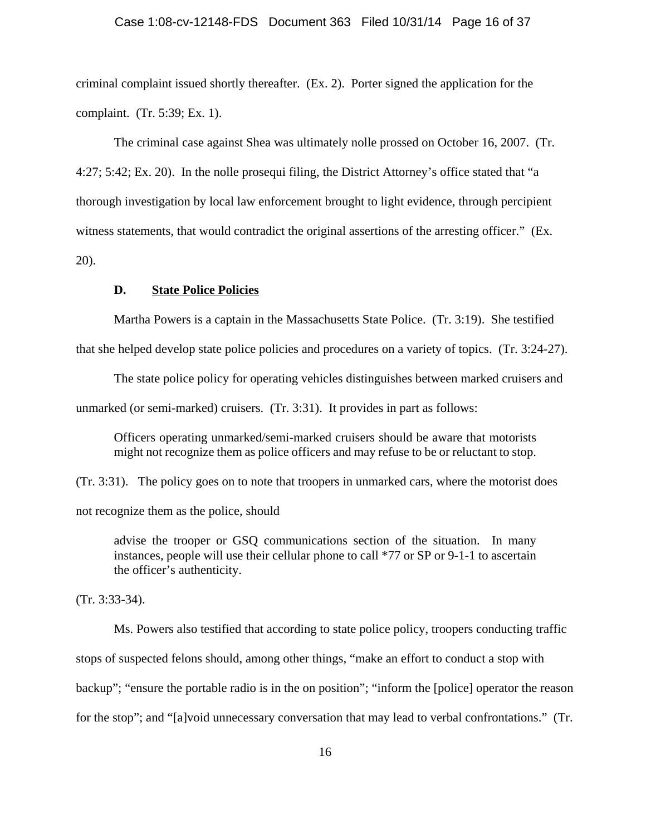criminal complaint issued shortly thereafter. (Ex. 2). Porter signed the application for the complaint. (Tr. 5:39; Ex. 1).

The criminal case against Shea was ultimately nolle prossed on October 16, 2007. (Tr. 4:27; 5:42; Ex. 20). In the nolle prosequi filing, the District Attorney's office stated that "a thorough investigation by local law enforcement brought to light evidence, through percipient witness statements, that would contradict the original assertions of the arresting officer." (Ex. 20).

## **D. State Police Policies**

Martha Powers is a captain in the Massachusetts State Police. (Tr. 3:19). She testified

that she helped develop state police policies and procedures on a variety of topics. (Tr. 3:24-27).

The state police policy for operating vehicles distinguishes between marked cruisers and

unmarked (or semi-marked) cruisers. (Tr. 3:31). It provides in part as follows:

Officers operating unmarked/semi-marked cruisers should be aware that motorists might not recognize them as police officers and may refuse to be or reluctant to stop.

(Tr. 3:31). The policy goes on to note that troopers in unmarked cars, where the motorist does not recognize them as the police, should

advise the trooper or GSQ communications section of the situation. In many instances, people will use their cellular phone to call \*77 or SP or 9-1-1 to ascertain the officer's authenticity.

(Tr. 3:33-34).

Ms. Powers also testified that according to state police policy, troopers conducting traffic stops of suspected felons should, among other things, "make an effort to conduct a stop with backup"; "ensure the portable radio is in the on position"; "inform the [police] operator the reason for the stop"; and "[a]void unnecessary conversation that may lead to verbal confrontations." (Tr.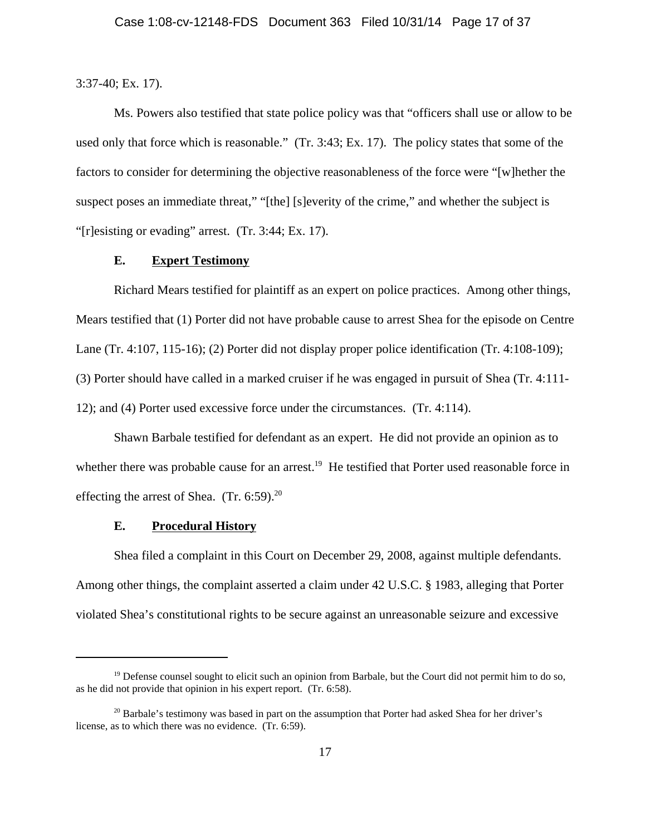3:37-40; Ex. 17).

Ms. Powers also testified that state police policy was that "officers shall use or allow to be used only that force which is reasonable." (Tr. 3:43; Ex. 17). The policy states that some of the factors to consider for determining the objective reasonableness of the force were "[w]hether the suspect poses an immediate threat," "[the] [s]everity of the crime," and whether the subject is "[r]esisting or evading" arrest. (Tr. 3:44; Ex. 17).

## **E. Expert Testimony**

Richard Mears testified for plaintiff as an expert on police practices. Among other things, Mears testified that (1) Porter did not have probable cause to arrest Shea for the episode on Centre Lane (Tr. 4:107, 115-16); (2) Porter did not display proper police identification (Tr. 4:108-109); (3) Porter should have called in a marked cruiser if he was engaged in pursuit of Shea (Tr. 4:111- 12); and (4) Porter used excessive force under the circumstances. (Tr. 4:114).

Shawn Barbale testified for defendant as an expert. He did not provide an opinion as to whether there was probable cause for an arrest.<sup>19</sup> He testified that Porter used reasonable force in effecting the arrest of Shea.  $(Tr. 6:59)^{20}$ 

## **E. Procedural History**

Shea filed a complaint in this Court on December 29, 2008, against multiple defendants. Among other things, the complaint asserted a claim under 42 U.S.C. § 1983, alleging that Porter violated Shea's constitutional rights to be secure against an unreasonable seizure and excessive

 $19$  Defense counsel sought to elicit such an opinion from Barbale, but the Court did not permit him to do so, as he did not provide that opinion in his expert report. (Tr. 6:58).

<sup>&</sup>lt;sup>20</sup> Barbale's testimony was based in part on the assumption that Porter had asked Shea for her driver's license, as to which there was no evidence. (Tr. 6:59).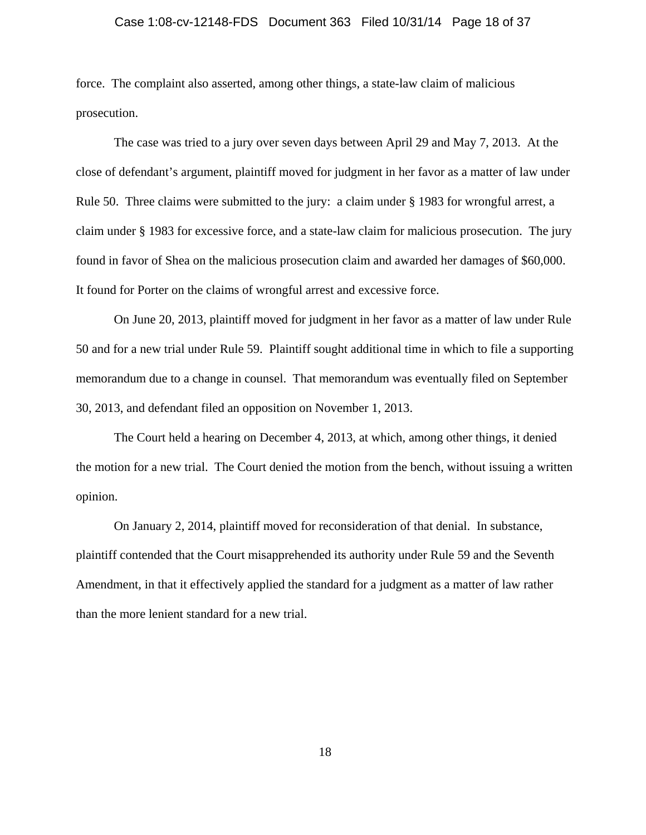## Case 1:08-cv-12148-FDS Document 363 Filed 10/31/14 Page 18 of 37

force. The complaint also asserted, among other things, a state-law claim of malicious prosecution.

The case was tried to a jury over seven days between April 29 and May 7, 2013. At the close of defendant's argument, plaintiff moved for judgment in her favor as a matter of law under Rule 50. Three claims were submitted to the jury: a claim under § 1983 for wrongful arrest, a claim under § 1983 for excessive force, and a state-law claim for malicious prosecution. The jury found in favor of Shea on the malicious prosecution claim and awarded her damages of \$60,000. It found for Porter on the claims of wrongful arrest and excessive force.

On June 20, 2013, plaintiff moved for judgment in her favor as a matter of law under Rule 50 and for a new trial under Rule 59. Plaintiff sought additional time in which to file a supporting memorandum due to a change in counsel. That memorandum was eventually filed on September 30, 2013, and defendant filed an opposition on November 1, 2013.

The Court held a hearing on December 4, 2013, at which, among other things, it denied the motion for a new trial. The Court denied the motion from the bench, without issuing a written opinion.

On January 2, 2014, plaintiff moved for reconsideration of that denial. In substance, plaintiff contended that the Court misapprehended its authority under Rule 59 and the Seventh Amendment, in that it effectively applied the standard for a judgment as a matter of law rather than the more lenient standard for a new trial.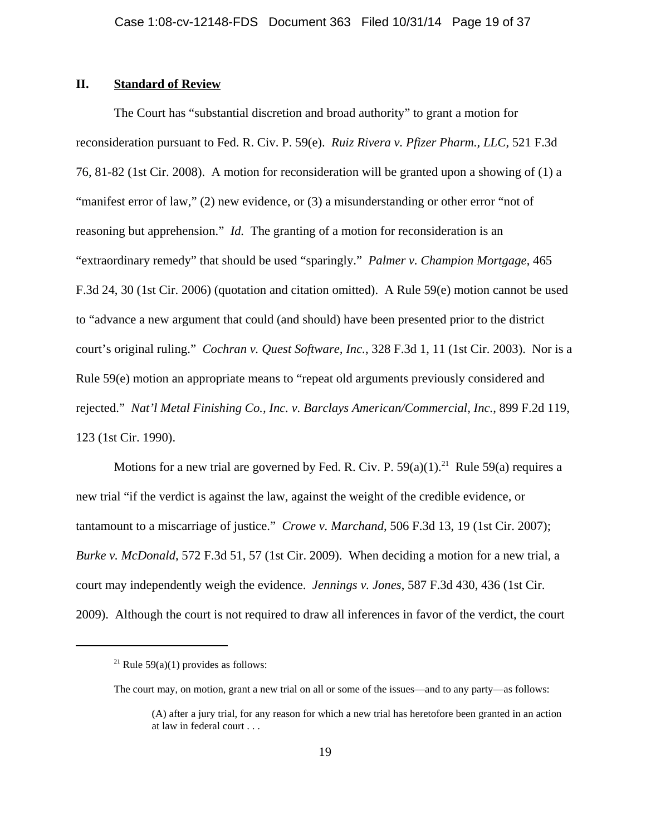## **II. Standard of Review**

The Court has "substantial discretion and broad authority" to grant a motion for reconsideration pursuant to Fed. R. Civ. P. 59(e). *Ruiz Rivera v. Pfizer Pharm., LLC*, 521 F.3d 76, 81-82 (1st Cir. 2008). A motion for reconsideration will be granted upon a showing of (1) a "manifest error of law," (2) new evidence, or (3) a misunderstanding or other error "not of reasoning but apprehension." *Id.* The granting of a motion for reconsideration is an "extraordinary remedy" that should be used "sparingly." *Palmer v. Champion Mortgage*, 465 F.3d 24, 30 (1st Cir. 2006) (quotation and citation omitted). A Rule 59(e) motion cannot be used to "advance a new argument that could (and should) have been presented prior to the district court's original ruling." *Cochran v. Quest Software, Inc.*, 328 F.3d 1, 11 (1st Cir. 2003). Nor is a Rule 59(e) motion an appropriate means to "repeat old arguments previously considered and rejected." *Nat'l Metal Finishing Co., Inc. v. Barclays American/Commercial, Inc.*, 899 F.2d 119, 123 (1st Cir. 1990).

Motions for a new trial are governed by Fed. R. Civ. P.  $59(a)(1)$ <sup>21</sup> Rule  $59(a)$  requires a new trial "if the verdict is against the law, against the weight of the credible evidence, or tantamount to a miscarriage of justice." *Crowe v. Marchand*, 506 F.3d 13, 19 (1st Cir. 2007); *Burke v. McDonald*, 572 F.3d 51, 57 (1st Cir. 2009). When deciding a motion for a new trial, a court may independently weigh the evidence. *Jennings v. Jones*, 587 F.3d 430, 436 (1st Cir. 2009). Although the court is not required to draw all inferences in favor of the verdict, the court

<sup>&</sup>lt;sup>21</sup> Rule 59(a)(1) provides as follows:

The court may, on motion, grant a new trial on all or some of the issues—and to any party—as follows:

<sup>(</sup>A) after a jury trial, for any reason for which a new trial has heretofore been granted in an action at law in federal court . . .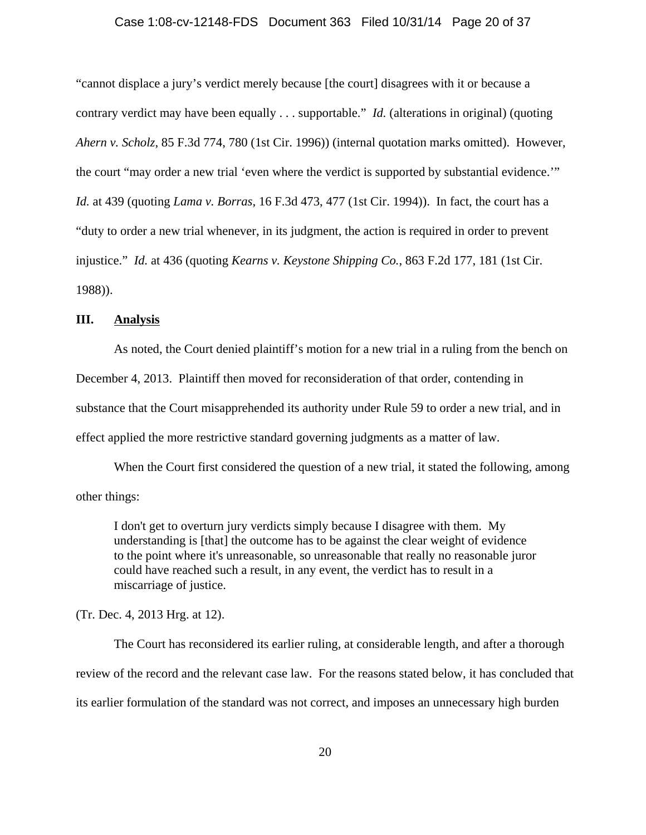## Case 1:08-cv-12148-FDS Document 363 Filed 10/31/14 Page 20 of 37

"cannot displace a jury's verdict merely because [the court] disagrees with it or because a contrary verdict may have been equally . . . supportable." *Id.* (alterations in original) (quoting *Ahern v. Scholz*, 85 F.3d 774, 780 (1st Cir. 1996)) (internal quotation marks omitted). However, the court "may order a new trial 'even where the verdict is supported by substantial evidence.'" *Id.* at 439 (quoting *Lama v. Borras*, 16 F.3d 473, 477 (1st Cir. 1994)). In fact, the court has a "duty to order a new trial whenever, in its judgment, the action is required in order to prevent injustice." *Id.* at 436 (quoting *Kearns v. Keystone Shipping Co.*, 863 F.2d 177, 181 (1st Cir. 1988)).

## **III. Analysis**

As noted, the Court denied plaintiff's motion for a new trial in a ruling from the bench on December 4, 2013. Plaintiff then moved for reconsideration of that order, contending in substance that the Court misapprehended its authority under Rule 59 to order a new trial, and in effect applied the more restrictive standard governing judgments as a matter of law.

When the Court first considered the question of a new trial, it stated the following, among other things:

I don't get to overturn jury verdicts simply because I disagree with them. My understanding is [that] the outcome has to be against the clear weight of evidence to the point where it's unreasonable, so unreasonable that really no reasonable juror could have reached such a result, in any event, the verdict has to result in a miscarriage of justice.

(Tr. Dec. 4, 2013 Hrg. at 12).

The Court has reconsidered its earlier ruling, at considerable length, and after a thorough review of the record and the relevant case law. For the reasons stated below, it has concluded that its earlier formulation of the standard was not correct, and imposes an unnecessary high burden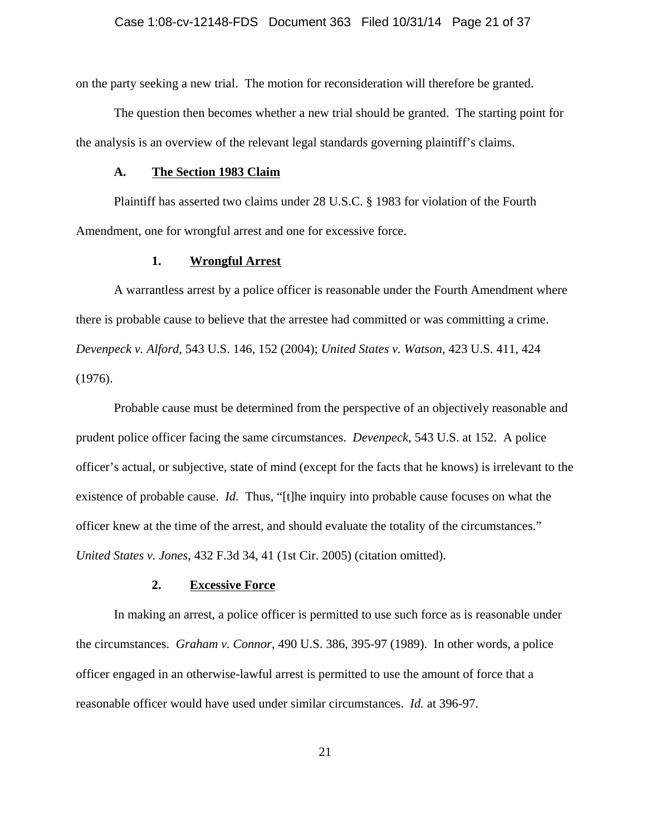on the party seeking a new trial. The motion for reconsideration will therefore be granted.

The question then becomes whether a new trial should be granted. The starting point for the analysis is an overview of the relevant legal standards governing plaintiff's claims.

#### **A. The Section 1983 Claim**

Plaintiff has asserted two claims under 28 U.S.C. § 1983 for violation of the Fourth Amendment, one for wrongful arrest and one for excessive force.

## **1. Wrongful Arrest**

A warrantless arrest by a police officer is reasonable under the Fourth Amendment where there is probable cause to believe that the arrestee had committed or was committing a crime. *Devenpeck v. Alford*, 543 U.S. 146, 152 (2004); *United States v. Watson*, 423 U.S. 411, 424 (1976).

Probable cause must be determined from the perspective of an objectively reasonable and prudent police officer facing the same circumstances. *Devenpeck*, 543 U.S. at 152. A police officer's actual, or subjective, state of mind (except for the facts that he knows) is irrelevant to the existence of probable cause. *Id.* Thus, "[t]he inquiry into probable cause focuses on what the officer knew at the time of the arrest, and should evaluate the totality of the circumstances." *United States v. Jones*, 432 F.3d 34, 41 (1st Cir. 2005) (citation omitted).

#### **2. Excessive Force**

In making an arrest, a police officer is permitted to use such force as is reasonable under the circumstances. *Graham v. Connor*, 490 U.S. 386, 395-97 (1989). In other words, a police officer engaged in an otherwise-lawful arrest is permitted to use the amount of force that a reasonable officer would have used under similar circumstances. *Id.* at 396-97.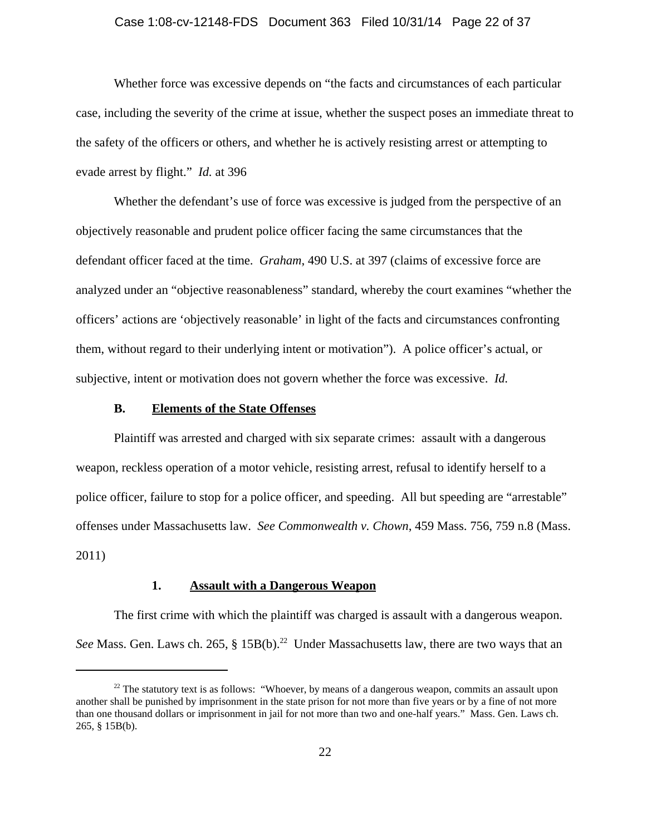#### Case 1:08-cv-12148-FDS Document 363 Filed 10/31/14 Page 22 of 37

Whether force was excessive depends on "the facts and circumstances of each particular case, including the severity of the crime at issue, whether the suspect poses an immediate threat to the safety of the officers or others, and whether he is actively resisting arrest or attempting to evade arrest by flight." *Id.* at 396

Whether the defendant's use of force was excessive is judged from the perspective of an objectively reasonable and prudent police officer facing the same circumstances that the defendant officer faced at the time. *Graham*, 490 U.S. at 397 (claims of excessive force are analyzed under an "objective reasonableness" standard, whereby the court examines "whether the officers' actions are 'objectively reasonable' in light of the facts and circumstances confronting them, without regard to their underlying intent or motivation"). A police officer's actual, or subjective, intent or motivation does not govern whether the force was excessive.*Id.*

## **B. Elements of the State Offenses**

Plaintiff was arrested and charged with six separate crimes: assault with a dangerous weapon, reckless operation of a motor vehicle, resisting arrest, refusal to identify herself to a police officer, failure to stop for a police officer, and speeding. All but speeding are "arrestable" offenses under Massachusetts law. *See Commonwealth v. Chown*, 459 Mass. 756, 759 n.8 (Mass. 2011)

## **1. Assault with a Dangerous Weapon**

The first crime with which the plaintiff was charged is assault with a dangerous weapon. See Mass. Gen. Laws ch. 265, § 15B(b).<sup>22</sup> Under Massachusetts law, there are two ways that an

 $22$ <sup>22</sup> The statutory text is as follows: "Whoever, by means of a dangerous weapon, commits an assault upon another shall be punished by imprisonment in the state prison for not more than five years or by a fine of not more than one thousand dollars or imprisonment in jail for not more than two and one-half years." Mass. Gen. Laws ch. 265, § 15B(b).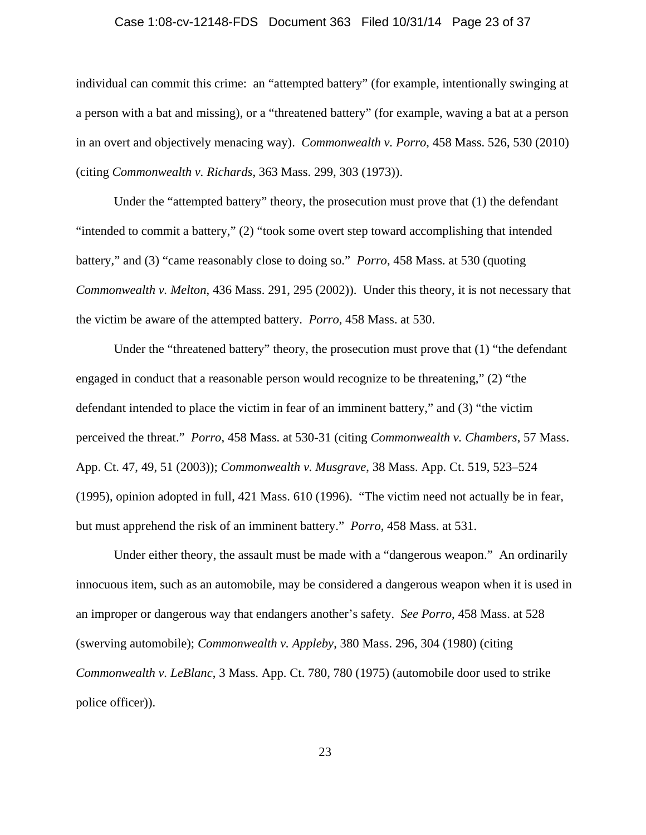## Case 1:08-cv-12148-FDS Document 363 Filed 10/31/14 Page 23 of 37

individual can commit this crime: an "attempted battery" (for example, intentionally swinging at a person with a bat and missing), or a "threatened battery" (for example, waving a bat at a person in an overt and objectively menacing way). *Commonwealth v. Porro*, 458 Mass. 526, 530 (2010) (citing *Commonwealth v. Richards*, 363 Mass. 299, 303 (1973)).

Under the "attempted battery" theory, the prosecution must prove that (1) the defendant "intended to commit a battery," (2) "took some overt step toward accomplishing that intended battery," and (3) "came reasonably close to doing so." *Porro*, 458 Mass. at 530 (quoting *Commonwealth v. Melton*, 436 Mass. 291, 295 (2002)). Under this theory, it is not necessary that the victim be aware of the attempted battery. *Porro*, 458 Mass. at 530.

Under the "threatened battery" theory, the prosecution must prove that (1) "the defendant engaged in conduct that a reasonable person would recognize to be threatening," (2) "the defendant intended to place the victim in fear of an imminent battery," and (3) "the victim perceived the threat." *Porro*, 458 Mass. at 530-31 (citing *Commonwealth v. Chambers*, 57 Mass. App. Ct. 47, 49, 51 (2003)); *Commonwealth v. Musgrave*, 38 Mass. App. Ct. 519, 523–524 (1995), opinion adopted in full, 421 Mass. 610 (1996). "The victim need not actually be in fear, but must apprehend the risk of an imminent battery." *Porro*, 458 Mass. at 531.

Under either theory, the assault must be made with a "dangerous weapon." An ordinarily innocuous item, such as an automobile, may be considered a dangerous weapon when it is used in an improper or dangerous way that endangers another's safety. *See Porro*, 458 Mass. at 528 (swerving automobile); *Commonwealth v. Appleby*, 380 Mass. 296, 304 (1980) (citing *Commonwealth v. LeBlanc*, 3 Mass. App. Ct. 780, 780 (1975) (automobile door used to strike police officer)).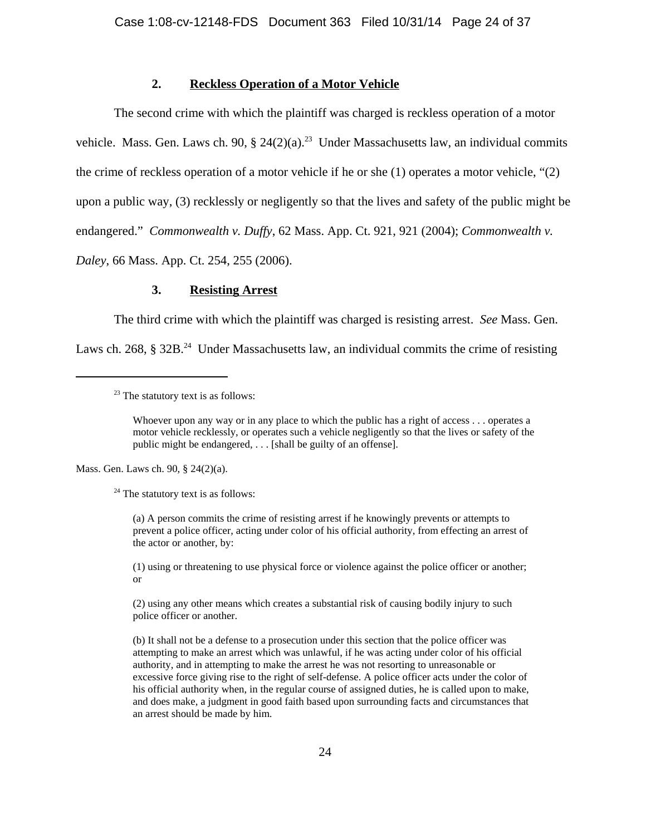## **2. Reckless Operation of a Motor Vehicle**

The second crime with which the plaintiff was charged is reckless operation of a motor vehicle. Mass. Gen. Laws ch. 90, § 24(2)(a).<sup>23</sup> Under Massachusetts law, an individual commits the crime of reckless operation of a motor vehicle if he or she (1) operates a motor vehicle, "(2) upon a public way, (3) recklessly or negligently so that the lives and safety of the public might be endangered." *Commonwealth v. Duffy*, 62 Mass. App. Ct. 921, 921 (2004); *Commonwealth v. Daley*, 66 Mass. App. Ct. 254, 255 (2006).

## **3. Resisting Arrest**

The third crime with which the plaintiff was charged is resisting arrest. *See* Mass. Gen.

Laws ch. 268,  $\S 32B<sup>24</sup>$  Under Massachusetts law, an individual commits the crime of resisting

Mass. Gen. Laws ch. 90, § 24(2)(a).

 $24$  The statutory text is as follows:

(a) A person commits the crime of resisting arrest if he knowingly prevents or attempts to prevent a police officer, acting under color of his official authority, from effecting an arrest of the actor or another, by:

(1) using or threatening to use physical force or violence against the police officer or another; or

(2) using any other means which creates a substantial risk of causing bodily injury to such police officer or another.

(b) It shall not be a defense to a prosecution under this section that the police officer was attempting to make an arrest which was unlawful, if he was acting under color of his official authority, and in attempting to make the arrest he was not resorting to unreasonable or excessive force giving rise to the right of self-defense. A police officer acts under the color of his official authority when, in the regular course of assigned duties, he is called upon to make, and does make, a judgment in good faith based upon surrounding facts and circumstances that an arrest should be made by him.

 $23$  The statutory text is as follows:

Whoever upon any way or in any place to which the public has a right of access . . . operates a motor vehicle recklessly, or operates such a vehicle negligently so that the lives or safety of the public might be endangered, . . . [shall be guilty of an offense].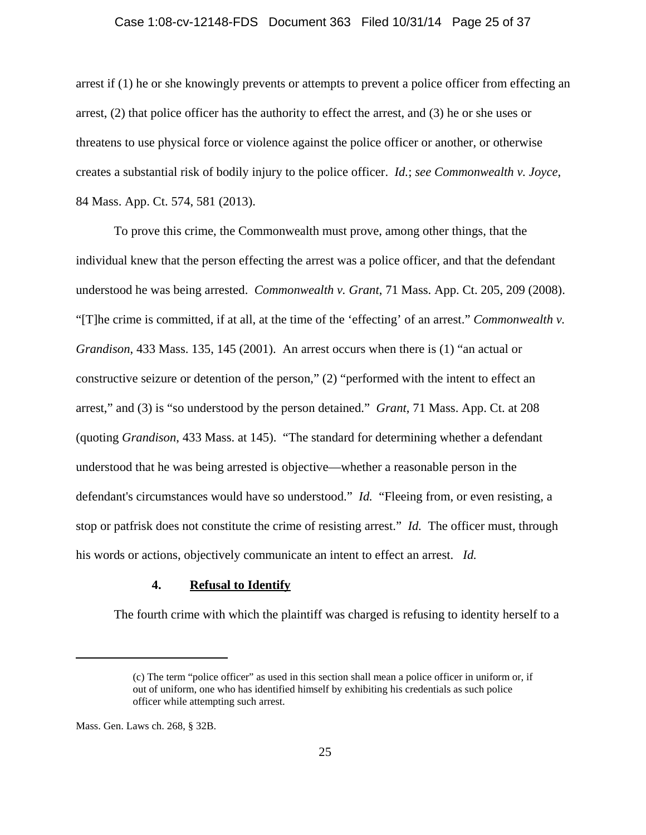#### Case 1:08-cv-12148-FDS Document 363 Filed 10/31/14 Page 25 of 37

arrest if (1) he or she knowingly prevents or attempts to prevent a police officer from effecting an arrest, (2) that police officer has the authority to effect the arrest, and (3) he or she uses or threatens to use physical force or violence against the police officer or another, or otherwise creates a substantial risk of bodily injury to the police officer. *Id.*; *see Commonwealth v. Joyce*, 84 Mass. App. Ct. 574, 581 (2013).

To prove this crime, the Commonwealth must prove, among other things, that the individual knew that the person effecting the arrest was a police officer, and that the defendant understood he was being arrested. *Commonwealth v. Grant*, 71 Mass. App. Ct. 205, 209 (2008). "[T]he crime is committed, if at all, at the time of the 'effecting' of an arrest." *Commonwealth v. Grandison*, 433 Mass. 135, 145 (2001). An arrest occurs when there is (1) "an actual or constructive seizure or detention of the person," (2) "performed with the intent to effect an arrest," and (3) is "so understood by the person detained." *Grant*, 71 Mass. App. Ct. at 208 (quoting *Grandison*, 433 Mass. at 145). "The standard for determining whether a defendant understood that he was being arrested is objective—whether a reasonable person in the defendant's circumstances would have so understood." *Id.* "Fleeing from, or even resisting, a stop or patfrisk does not constitute the crime of resisting arrest." *Id.* The officer must, through his words or actions, objectively communicate an intent to effect an arrest. *Id.*

## **4. Refusal to Identify**

The fourth crime with which the plaintiff was charged is refusing to identity herself to a

<sup>(</sup>c) The term "police officer" as used in this section shall mean a police officer in uniform or, if out of uniform, one who has identified himself by exhibiting his credentials as such police officer while attempting such arrest.

Mass. Gen. Laws ch. 268, § 32B.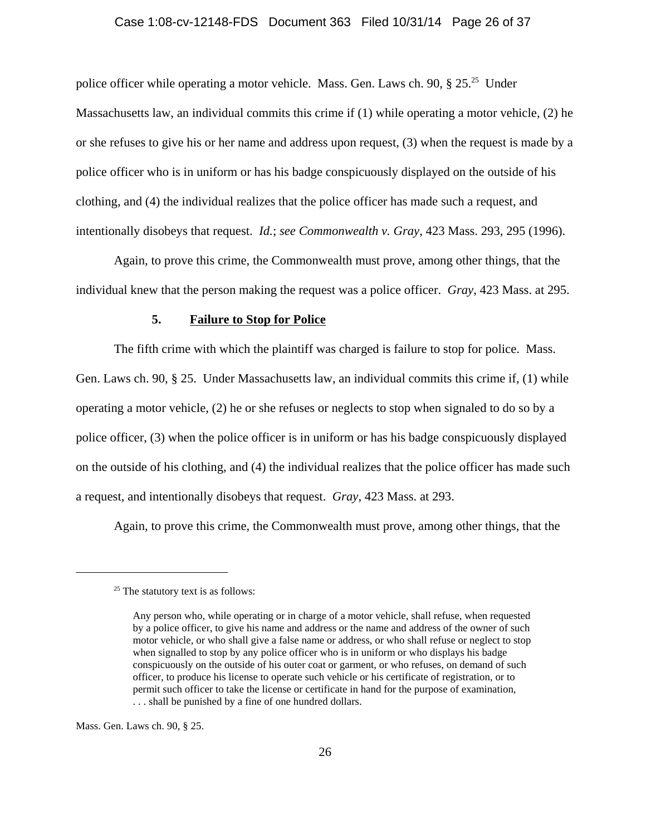## Case 1:08-cv-12148-FDS Document 363 Filed 10/31/14 Page 26 of 37

police officer while operating a motor vehicle. Mass. Gen. Laws ch. 90,  $\S 25$ .<sup>25</sup> Under Massachusetts law, an individual commits this crime if (1) while operating a motor vehicle, (2) he or she refuses to give his or her name and address upon request, (3) when the request is made by a police officer who is in uniform or has his badge conspicuously displayed on the outside of his clothing, and (4) the individual realizes that the police officer has made such a request, and intentionally disobeys that request. *Id.*; *see Commonwealth v. Gray*, 423 Mass. 293, 295 (1996).

Again, to prove this crime, the Commonwealth must prove, among other things, that the individual knew that the person making the request was a police officer. *Gray*, 423 Mass. at 295.

## **5. Failure to Stop for Police**

The fifth crime with which the plaintiff was charged is failure to stop for police. Mass. Gen. Laws ch. 90,  $\S$  25. Under Massachusetts law, an individual commits this crime if, (1) while operating a motor vehicle, (2) he or she refuses or neglects to stop when signaled to do so by a police officer, (3) when the police officer is in uniform or has his badge conspicuously displayed on the outside of his clothing, and (4) the individual realizes that the police officer has made such a request, and intentionally disobeys that request. *Gray*, 423 Mass. at 293.

Again, to prove this crime, the Commonwealth must prove, among other things, that the

Mass. Gen. Laws ch. 90, § 25.

 $25$  The statutory text is as follows:

Any person who, while operating or in charge of a motor vehicle, shall refuse, when requested by a police officer, to give his name and address or the name and address of the owner of such motor vehicle, or who shall give a false name or address, or who shall refuse or neglect to stop when signalled to stop by any police officer who is in uniform or who displays his badge conspicuously on the outside of his outer coat or garment, or who refuses, on demand of such officer, to produce his license to operate such vehicle or his certificate of registration, or to permit such officer to take the license or certificate in hand for the purpose of examination, . . . shall be punished by a fine of one hundred dollars.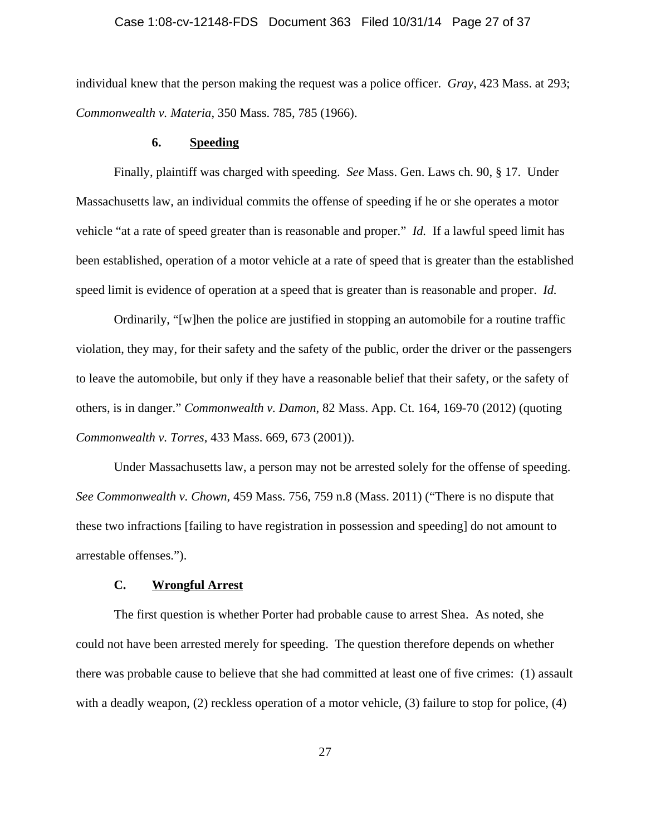## Case 1:08-cv-12148-FDS Document 363 Filed 10/31/14 Page 27 of 37

individual knew that the person making the request was a police officer. *Gray*, 423 Mass. at 293; *Commonwealth v. Materia*, 350 Mass. 785, 785 (1966).

#### **6. Speeding**

Finally, plaintiff was charged with speeding. *See* Mass. Gen. Laws ch. 90, § 17. Under Massachusetts law, an individual commits the offense of speeding if he or she operates a motor vehicle "at a rate of speed greater than is reasonable and proper." *Id.* If a lawful speed limit has been established, operation of a motor vehicle at a rate of speed that is greater than the established speed limit is evidence of operation at a speed that is greater than is reasonable and proper. *Id.*

Ordinarily, "[w]hen the police are justified in stopping an automobile for a routine traffic violation, they may, for their safety and the safety of the public, order the driver or the passengers to leave the automobile, but only if they have a reasonable belief that their safety, or the safety of others, is in danger." *Commonwealth v. Damon*, 82 Mass. App. Ct. 164, 169-70 (2012) (quoting *Commonwealth v. Torres*, 433 Mass. 669, 673 (2001)).

Under Massachusetts law, a person may not be arrested solely for the offense of speeding. *See Commonwealth v. Chown*, 459 Mass. 756, 759 n.8 (Mass. 2011) ("There is no dispute that these two infractions [failing to have registration in possession and speeding] do not amount to arrestable offenses.").

## **C. Wrongful Arrest**

The first question is whether Porter had probable cause to arrest Shea. As noted, she could not have been arrested merely for speeding. The question therefore depends on whether there was probable cause to believe that she had committed at least one of five crimes: (1) assault with a deadly weapon, (2) reckless operation of a motor vehicle, (3) failure to stop for police, (4)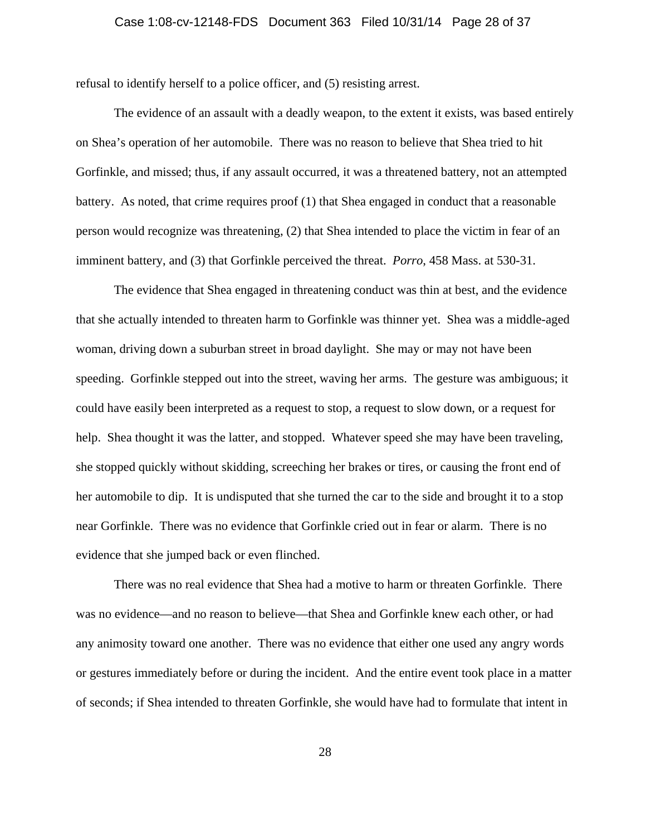## Case 1:08-cv-12148-FDS Document 363 Filed 10/31/14 Page 28 of 37

refusal to identify herself to a police officer, and (5) resisting arrest.

The evidence of an assault with a deadly weapon, to the extent it exists, was based entirely on Shea's operation of her automobile. There was no reason to believe that Shea tried to hit Gorfinkle, and missed; thus, if any assault occurred, it was a threatened battery, not an attempted battery. As noted, that crime requires proof (1) that Shea engaged in conduct that a reasonable person would recognize was threatening, (2) that Shea intended to place the victim in fear of an imminent battery, and (3) that Gorfinkle perceived the threat. *Porro*, 458 Mass. at 530-31.

The evidence that Shea engaged in threatening conduct was thin at best, and the evidence that she actually intended to threaten harm to Gorfinkle was thinner yet. Shea was a middle-aged woman, driving down a suburban street in broad daylight. She may or may not have been speeding. Gorfinkle stepped out into the street, waving her arms. The gesture was ambiguous; it could have easily been interpreted as a request to stop, a request to slow down, or a request for help. Shea thought it was the latter, and stopped. Whatever speed she may have been traveling, she stopped quickly without skidding, screeching her brakes or tires, or causing the front end of her automobile to dip. It is undisputed that she turned the car to the side and brought it to a stop near Gorfinkle. There was no evidence that Gorfinkle cried out in fear or alarm. There is no evidence that she jumped back or even flinched.

There was no real evidence that Shea had a motive to harm or threaten Gorfinkle. There was no evidence—and no reason to believe—that Shea and Gorfinkle knew each other, or had any animosity toward one another. There was no evidence that either one used any angry words or gestures immediately before or during the incident. And the entire event took place in a matter of seconds; if Shea intended to threaten Gorfinkle, she would have had to formulate that intent in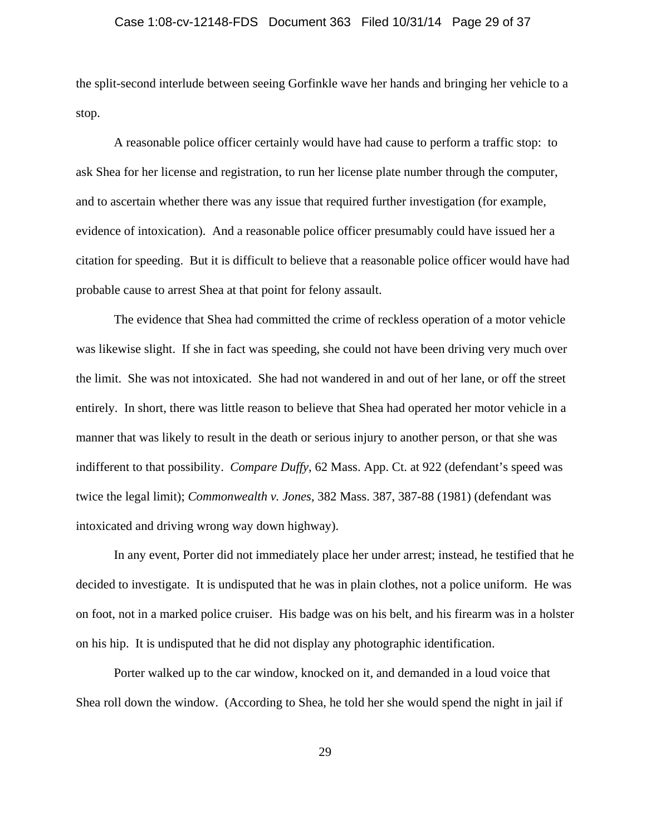## Case 1:08-cv-12148-FDS Document 363 Filed 10/31/14 Page 29 of 37

the split-second interlude between seeing Gorfinkle wave her hands and bringing her vehicle to a stop.

A reasonable police officer certainly would have had cause to perform a traffic stop: to ask Shea for her license and registration, to run her license plate number through the computer, and to ascertain whether there was any issue that required further investigation (for example, evidence of intoxication). And a reasonable police officer presumably could have issued her a citation for speeding. But it is difficult to believe that a reasonable police officer would have had probable cause to arrest Shea at that point for felony assault.

The evidence that Shea had committed the crime of reckless operation of a motor vehicle was likewise slight. If she in fact was speeding, she could not have been driving very much over the limit. She was not intoxicated. She had not wandered in and out of her lane, or off the street entirely. In short, there was little reason to believe that Shea had operated her motor vehicle in a manner that was likely to result in the death or serious injury to another person, or that she was indifferent to that possibility. *Compare Duffy*, 62 Mass. App. Ct. at 922 (defendant's speed was twice the legal limit); *Commonwealth v. Jones*, 382 Mass. 387, 387-88 (1981) (defendant was intoxicated and driving wrong way down highway).

In any event, Porter did not immediately place her under arrest; instead, he testified that he decided to investigate. It is undisputed that he was in plain clothes, not a police uniform. He was on foot, not in a marked police cruiser. His badge was on his belt, and his firearm was in a holster on his hip. It is undisputed that he did not display any photographic identification.

Porter walked up to the car window, knocked on it, and demanded in a loud voice that Shea roll down the window. (According to Shea, he told her she would spend the night in jail if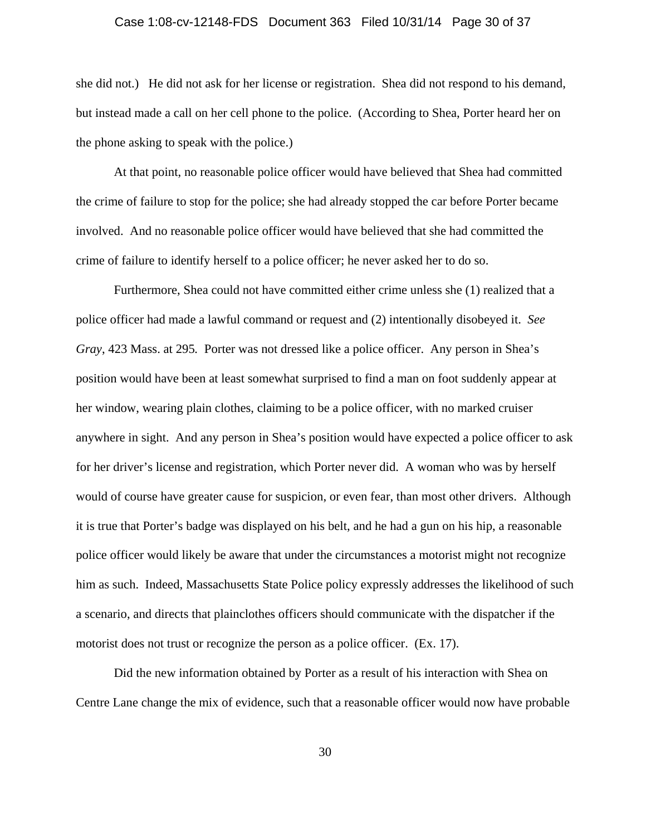## Case 1:08-cv-12148-FDS Document 363 Filed 10/31/14 Page 30 of 37

she did not.) He did not ask for her license or registration. Shea did not respond to his demand, but instead made a call on her cell phone to the police. (According to Shea, Porter heard her on the phone asking to speak with the police.)

At that point, no reasonable police officer would have believed that Shea had committed the crime of failure to stop for the police; she had already stopped the car before Porter became involved. And no reasonable police officer would have believed that she had committed the crime of failure to identify herself to a police officer; he never asked her to do so.

Furthermore, Shea could not have committed either crime unless she (1) realized that a police officer had made a lawful command or request and (2) intentionally disobeyed it. *See Gray*, 423 Mass. at 295*.* Porter was not dressed like a police officer. Any person in Shea's position would have been at least somewhat surprised to find a man on foot suddenly appear at her window, wearing plain clothes, claiming to be a police officer, with no marked cruiser anywhere in sight. And any person in Shea's position would have expected a police officer to ask for her driver's license and registration, which Porter never did. A woman who was by herself would of course have greater cause for suspicion, or even fear, than most other drivers. Although it is true that Porter's badge was displayed on his belt, and he had a gun on his hip, a reasonable police officer would likely be aware that under the circumstances a motorist might not recognize him as such. Indeed, Massachusetts State Police policy expressly addresses the likelihood of such a scenario, and directs that plainclothes officers should communicate with the dispatcher if the motorist does not trust or recognize the person as a police officer. (Ex. 17).

Did the new information obtained by Porter as a result of his interaction with Shea on Centre Lane change the mix of evidence, such that a reasonable officer would now have probable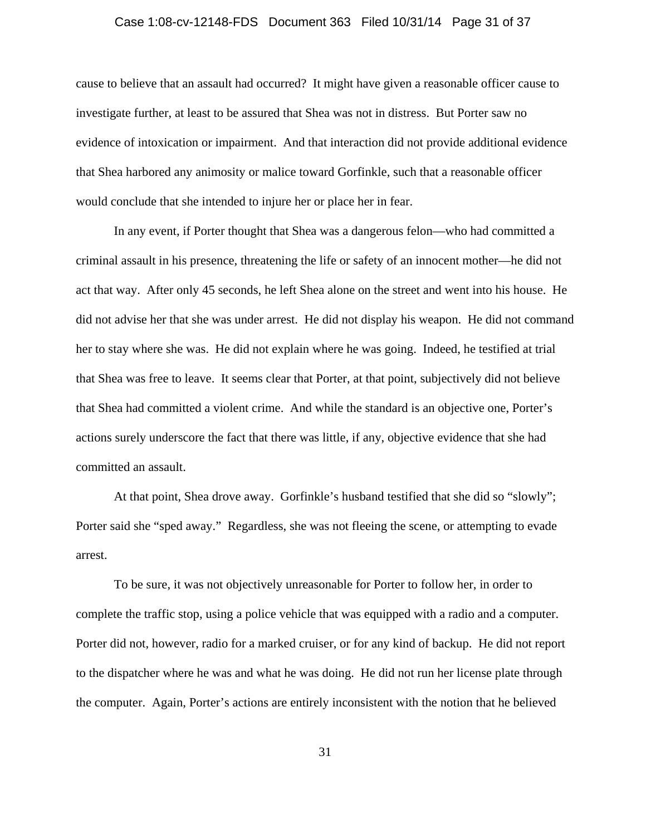#### Case 1:08-cv-12148-FDS Document 363 Filed 10/31/14 Page 31 of 37

cause to believe that an assault had occurred? It might have given a reasonable officer cause to investigate further, at least to be assured that Shea was not in distress. But Porter saw no evidence of intoxication or impairment. And that interaction did not provide additional evidence that Shea harbored any animosity or malice toward Gorfinkle, such that a reasonable officer would conclude that she intended to injure her or place her in fear.

In any event, if Porter thought that Shea was a dangerous felon—who had committed a criminal assault in his presence, threatening the life or safety of an innocent mother—he did not act that way. After only 45 seconds, he left Shea alone on the street and went into his house. He did not advise her that she was under arrest. He did not display his weapon. He did not command her to stay where she was. He did not explain where he was going. Indeed, he testified at trial that Shea was free to leave. It seems clear that Porter, at that point, subjectively did not believe that Shea had committed a violent crime. And while the standard is an objective one, Porter's actions surely underscore the fact that there was little, if any, objective evidence that she had committed an assault.

At that point, Shea drove away. Gorfinkle's husband testified that she did so "slowly"; Porter said she "sped away." Regardless, she was not fleeing the scene, or attempting to evade arrest.

To be sure, it was not objectively unreasonable for Porter to follow her, in order to complete the traffic stop, using a police vehicle that was equipped with a radio and a computer. Porter did not, however, radio for a marked cruiser, or for any kind of backup. He did not report to the dispatcher where he was and what he was doing. He did not run her license plate through the computer. Again, Porter's actions are entirely inconsistent with the notion that he believed

31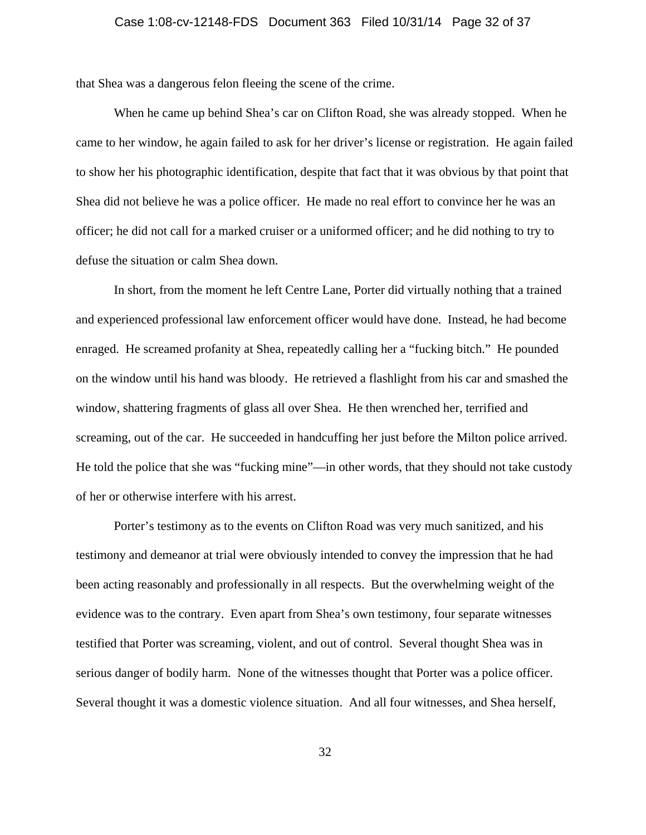that Shea was a dangerous felon fleeing the scene of the crime.

When he came up behind Shea's car on Clifton Road, she was already stopped. When he came to her window, he again failed to ask for her driver's license or registration. He again failed to show her his photographic identification, despite that fact that it was obvious by that point that Shea did not believe he was a police officer. He made no real effort to convince her he was an officer; he did not call for a marked cruiser or a uniformed officer; and he did nothing to try to defuse the situation or calm Shea down.

In short, from the moment he left Centre Lane, Porter did virtually nothing that a trained and experienced professional law enforcement officer would have done. Instead, he had become enraged. He screamed profanity at Shea, repeatedly calling her a "fucking bitch." He pounded on the window until his hand was bloody. He retrieved a flashlight from his car and smashed the window, shattering fragments of glass all over Shea. He then wrenched her, terrified and screaming, out of the car. He succeeded in handcuffing her just before the Milton police arrived. He told the police that she was "fucking mine"—in other words, that they should not take custody of her or otherwise interfere with his arrest.

Porter's testimony as to the events on Clifton Road was very much sanitized, and his testimony and demeanor at trial were obviously intended to convey the impression that he had been acting reasonably and professionally in all respects. But the overwhelming weight of the evidence was to the contrary. Even apart from Shea's own testimony, four separate witnesses testified that Porter was screaming, violent, and out of control. Several thought Shea was in serious danger of bodily harm. None of the witnesses thought that Porter was a police officer. Several thought it was a domestic violence situation. And all four witnesses, and Shea herself,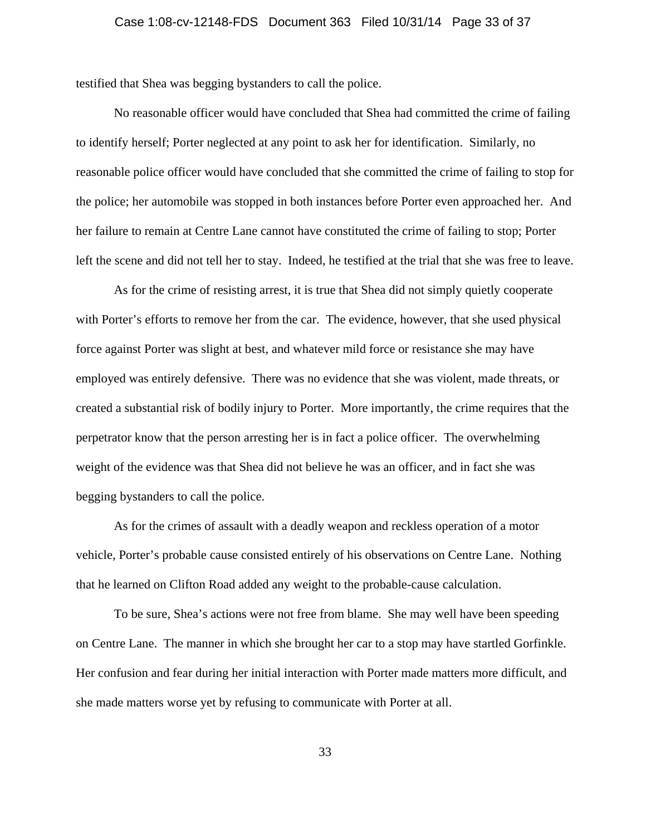testified that Shea was begging bystanders to call the police.

No reasonable officer would have concluded that Shea had committed the crime of failing to identify herself; Porter neglected at any point to ask her for identification. Similarly, no reasonable police officer would have concluded that she committed the crime of failing to stop for the police; her automobile was stopped in both instances before Porter even approached her. And her failure to remain at Centre Lane cannot have constituted the crime of failing to stop; Porter left the scene and did not tell her to stay. Indeed, he testified at the trial that she was free to leave.

As for the crime of resisting arrest, it is true that Shea did not simply quietly cooperate with Porter's efforts to remove her from the car. The evidence, however, that she used physical force against Porter was slight at best, and whatever mild force or resistance she may have employed was entirely defensive. There was no evidence that she was violent, made threats, or created a substantial risk of bodily injury to Porter. More importantly, the crime requires that the perpetrator know that the person arresting her is in fact a police officer. The overwhelming weight of the evidence was that Shea did not believe he was an officer, and in fact she was begging bystanders to call the police.

As for the crimes of assault with a deadly weapon and reckless operation of a motor vehicle, Porter's probable cause consisted entirely of his observations on Centre Lane. Nothing that he learned on Clifton Road added any weight to the probable-cause calculation.

To be sure, Shea's actions were not free from blame. She may well have been speeding on Centre Lane. The manner in which she brought her car to a stop may have startled Gorfinkle. Her confusion and fear during her initial interaction with Porter made matters more difficult, and she made matters worse yet by refusing to communicate with Porter at all.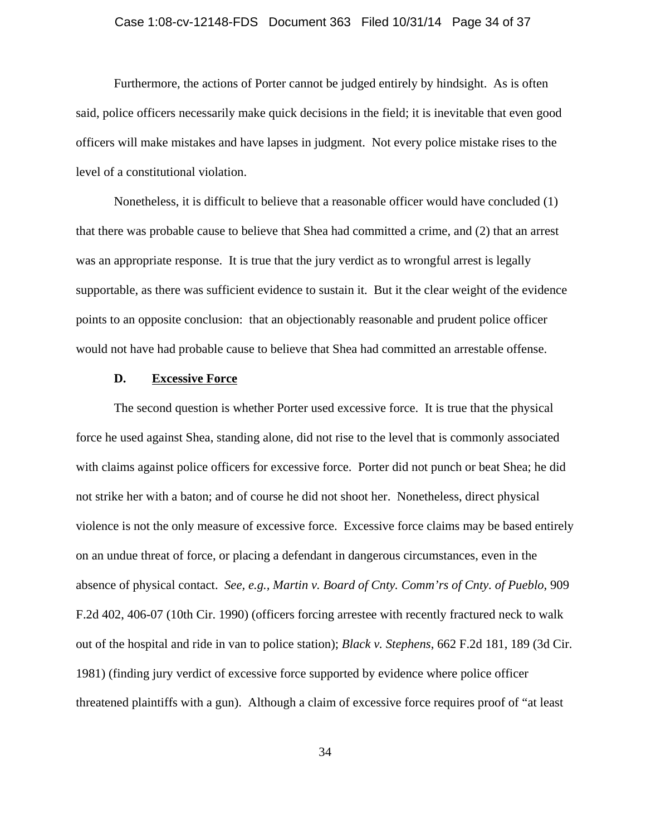## Case 1:08-cv-12148-FDS Document 363 Filed 10/31/14 Page 34 of 37

Furthermore, the actions of Porter cannot be judged entirely by hindsight. As is often said, police officers necessarily make quick decisions in the field; it is inevitable that even good officers will make mistakes and have lapses in judgment. Not every police mistake rises to the level of a constitutional violation.

Nonetheless, it is difficult to believe that a reasonable officer would have concluded (1) that there was probable cause to believe that Shea had committed a crime, and (2) that an arrest was an appropriate response. It is true that the jury verdict as to wrongful arrest is legally supportable, as there was sufficient evidence to sustain it. But it the clear weight of the evidence points to an opposite conclusion: that an objectionably reasonable and prudent police officer would not have had probable cause to believe that Shea had committed an arrestable offense.

## **D. Excessive Force**

The second question is whether Porter used excessive force. It is true that the physical force he used against Shea, standing alone, did not rise to the level that is commonly associated with claims against police officers for excessive force. Porter did not punch or beat Shea; he did not strike her with a baton; and of course he did not shoot her. Nonetheless, direct physical violence is not the only measure of excessive force. Excessive force claims may be based entirely on an undue threat of force, or placing a defendant in dangerous circumstances, even in the absence of physical contact. *See, e.g., Martin v. Board of Cnty. Comm'rs of Cnty. of Pueblo*, 909 F.2d 402, 406-07 (10th Cir. 1990) (officers forcing arrestee with recently fractured neck to walk out of the hospital and ride in van to police station); *Black v. Stephens*, 662 F.2d 181, 189 (3d Cir. 1981) (finding jury verdict of excessive force supported by evidence where police officer threatened plaintiffs with a gun). Although a claim of excessive force requires proof of "at least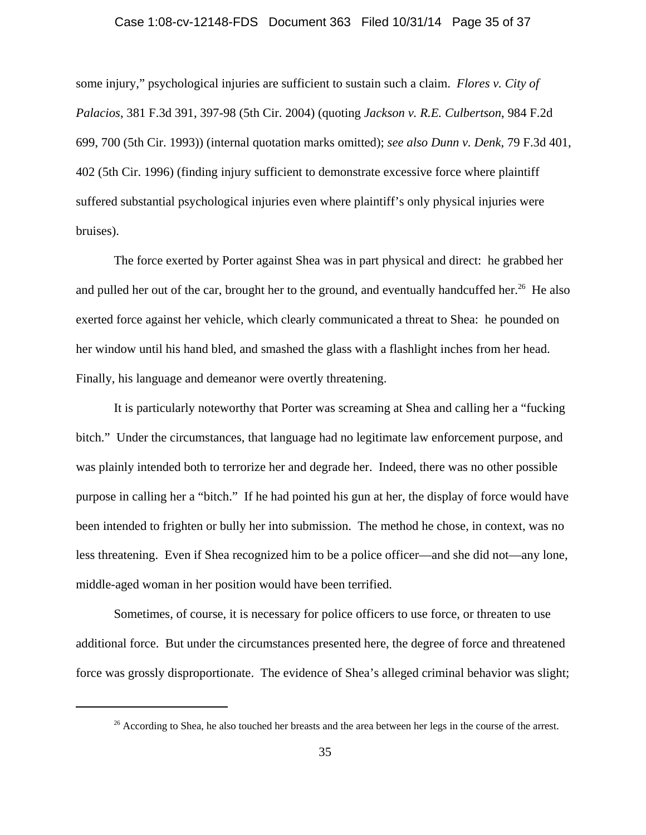## Case 1:08-cv-12148-FDS Document 363 Filed 10/31/14 Page 35 of 37

some injury," psychological injuries are sufficient to sustain such a claim. *Flores v. City of Palacios*, 381 F.3d 391, 397-98 (5th Cir. 2004) (quoting *Jackson v. R.E. Culbertson*, 984 F.2d 699, 700 (5th Cir. 1993)) (internal quotation marks omitted); *see also Dunn v. Denk*, 79 F.3d 401, 402 (5th Cir. 1996) (finding injury sufficient to demonstrate excessive force where plaintiff suffered substantial psychological injuries even where plaintiff's only physical injuries were bruises).

The force exerted by Porter against Shea was in part physical and direct: he grabbed her and pulled her out of the car, brought her to the ground, and eventually handcuffed her.<sup>26</sup> He also exerted force against her vehicle, which clearly communicated a threat to Shea: he pounded on her window until his hand bled, and smashed the glass with a flashlight inches from her head. Finally, his language and demeanor were overtly threatening.

It is particularly noteworthy that Porter was screaming at Shea and calling her a "fucking bitch." Under the circumstances, that language had no legitimate law enforcement purpose, and was plainly intended both to terrorize her and degrade her. Indeed, there was no other possible purpose in calling her a "bitch." If he had pointed his gun at her, the display of force would have been intended to frighten or bully her into submission. The method he chose, in context, was no less threatening. Even if Shea recognized him to be a police officer—and she did not—any lone, middle-aged woman in her position would have been terrified.

Sometimes, of course, it is necessary for police officers to use force, or threaten to use additional force. But under the circumstances presented here, the degree of force and threatened force was grossly disproportionate. The evidence of Shea's alleged criminal behavior was slight;

<sup>&</sup>lt;sup>26</sup> According to Shea, he also touched her breasts and the area between her legs in the course of the arrest.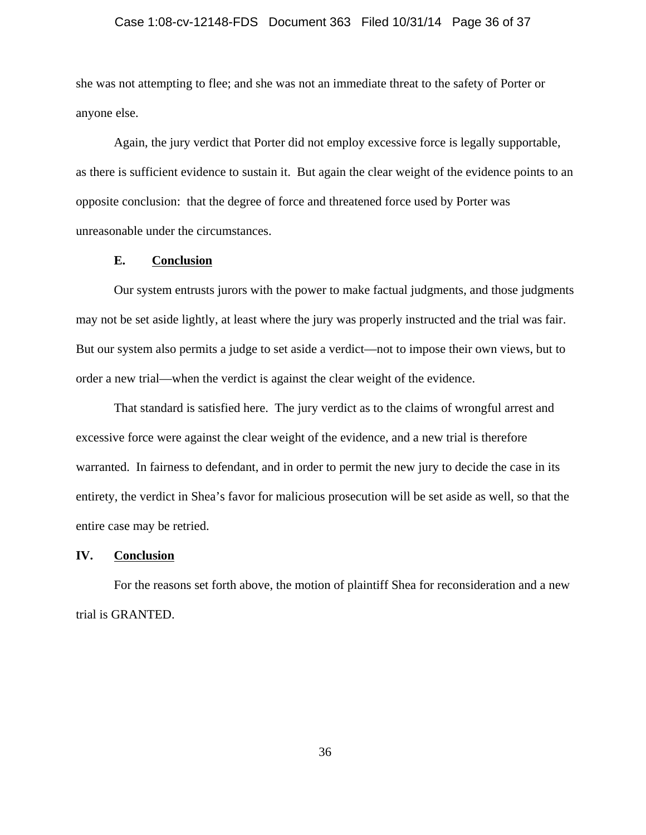## Case 1:08-cv-12148-FDS Document 363 Filed 10/31/14 Page 36 of 37

she was not attempting to flee; and she was not an immediate threat to the safety of Porter or anyone else.

Again, the jury verdict that Porter did not employ excessive force is legally supportable, as there is sufficient evidence to sustain it. But again the clear weight of the evidence points to an opposite conclusion: that the degree of force and threatened force used by Porter was unreasonable under the circumstances.

## **E. Conclusion**

Our system entrusts jurors with the power to make factual judgments, and those judgments may not be set aside lightly, at least where the jury was properly instructed and the trial was fair. But our system also permits a judge to set aside a verdict—not to impose their own views, but to order a new trial—when the verdict is against the clear weight of the evidence.

That standard is satisfied here. The jury verdict as to the claims of wrongful arrest and excessive force were against the clear weight of the evidence, and a new trial is therefore warranted. In fairness to defendant, and in order to permit the new jury to decide the case in its entirety, the verdict in Shea's favor for malicious prosecution will be set aside as well, so that the entire case may be retried.

## **IV. Conclusion**

For the reasons set forth above, the motion of plaintiff Shea for reconsideration and a new trial is GRANTED.